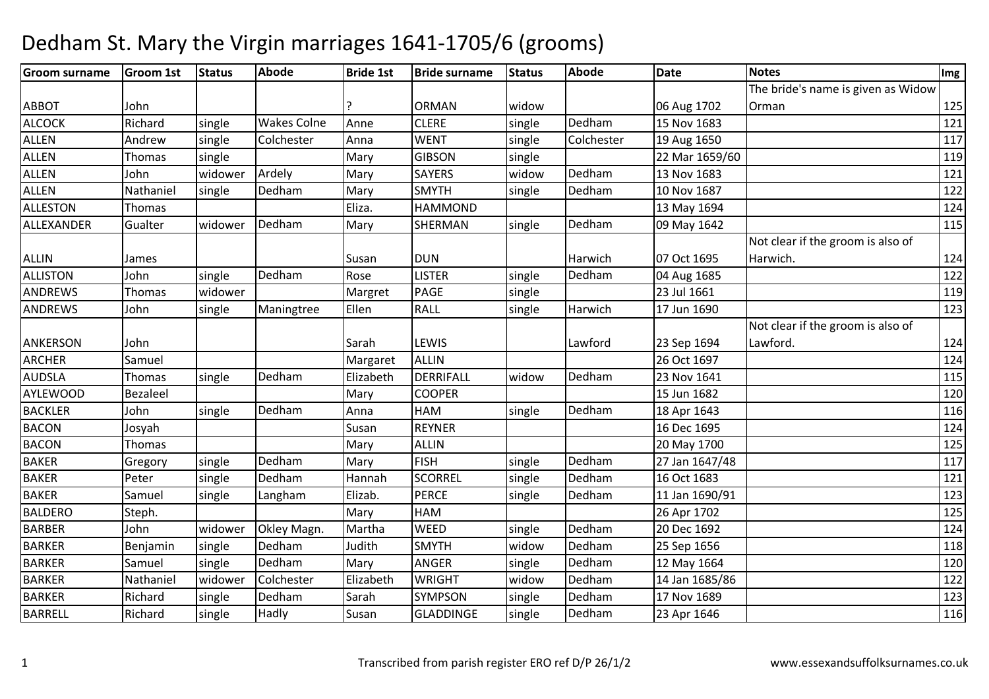| <b>Groom surname</b> | <b>Groom 1st</b> | <b>Status</b> | Abode              | <b>Bride 1st</b> | <b>Bride surname</b> | <b>Status</b> | <b>Abode</b> | Date           | <b>Notes</b>                       | Img |
|----------------------|------------------|---------------|--------------------|------------------|----------------------|---------------|--------------|----------------|------------------------------------|-----|
|                      |                  |               |                    |                  |                      |               |              |                | The bride's name is given as Widow |     |
| <b>ABBOT</b>         | John             |               |                    |                  | <b>ORMAN</b>         | widow         |              | 06 Aug 1702    | Orman                              | 125 |
| <b>ALCOCK</b>        | Richard          | single        | <b>Wakes Colne</b> | Anne             | <b>CLERE</b>         | single        | Dedham       | 15 Nov 1683    |                                    | 121 |
| <b>ALLEN</b>         | Andrew           | single        | Colchester         | Anna             | <b>WENT</b>          | single        | Colchester   | 19 Aug 1650    |                                    | 117 |
| <b>ALLEN</b>         | Thomas           | single        |                    | Mary             | <b>GIBSON</b>        | single        |              | 22 Mar 1659/60 |                                    | 119 |
| <b>ALLEN</b>         | John             | widower       | Ardely             | Mary             | <b>SAYERS</b>        | widow         | Dedham       | 13 Nov 1683    |                                    | 121 |
| <b>ALLEN</b>         | Nathaniel        | single        | Dedham             | Mary             | <b>SMYTH</b>         | single        | Dedham       | 10 Nov 1687    |                                    | 122 |
| <b>ALLESTON</b>      | Thomas           |               |                    | Eliza.           | <b>HAMMOND</b>       |               |              | 13 May 1694    |                                    | 124 |
| ALLEXANDER           | Gualter          | widower       | Dedham             | Mary             | SHERMAN              | single        | Dedham       | 09 May 1642    |                                    | 115 |
|                      |                  |               |                    |                  |                      |               |              |                | Not clear if the groom is also of  |     |
| <b>ALLIN</b>         | James            |               |                    | Susan            | DUN                  |               | Harwich      | 07 Oct 1695    | Harwich.                           | 124 |
| <b>ALLISTON</b>      | John             | single        | Dedham             | Rose             | <b>LISTER</b>        | single        | Dedham       | 04 Aug 1685    |                                    | 122 |
| <b>ANDREWS</b>       | Thomas           | widower       |                    | Margret          | <b>PAGE</b>          | single        |              | 23 Jul 1661    |                                    | 119 |
| <b>ANDREWS</b>       | John             | single        | Maningtree         | Ellen            | <b>RALL</b>          | single        | Harwich      | 17 Jun 1690    |                                    | 123 |
|                      |                  |               |                    |                  |                      |               |              |                | Not clear if the groom is also of  |     |
| <b>ANKERSON</b>      | John             |               |                    | Sarah            | LEWIS                |               | Lawford      | 23 Sep 1694    | Lawford.                           | 124 |
| <b>ARCHER</b>        | Samuel           |               |                    | Margaret         | <b>ALLIN</b>         |               |              | 26 Oct 1697    |                                    | 124 |
| <b>AUDSLA</b>        | Thomas           | single        | Dedham             | Elizabeth        | DERRIFALL            | widow         | Dedham       | 23 Nov 1641    |                                    | 115 |
| <b>AYLEWOOD</b>      | <b>Bezaleel</b>  |               |                    | Mary             | <b>COOPER</b>        |               |              | 15 Jun 1682    |                                    | 120 |
| <b>BACKLER</b>       | John             | single        | Dedham             | Anna             | HAM                  | single        | Dedham       | 18 Apr 1643    |                                    | 116 |
| <b>BACON</b>         | Josyah           |               |                    | Susan            | <b>REYNER</b>        |               |              | 16 Dec 1695    |                                    | 124 |
| <b>BACON</b>         | Thomas           |               |                    | Mary             | <b>ALLIN</b>         |               |              | 20 May 1700    |                                    | 125 |
| BAKER                | Gregory          | single        | Dedham             | Mary             | <b>FISH</b>          | single        | Dedham       | 27 Jan 1647/48 |                                    | 117 |
| <b>BAKER</b>         | Peter            | single        | Dedham             | Hannah           | <b>SCORREL</b>       | single        | Dedham       | 16 Oct 1683    |                                    | 121 |
| <b>BAKER</b>         | Samuel           | single        | Langham            | Elizab.          | <b>PERCE</b>         | single        | Dedham       | 11 Jan 1690/91 |                                    | 123 |
| <b>BALDERO</b>       | Steph.           |               |                    | Mary             | HAM                  |               |              | 26 Apr 1702    |                                    | 125 |
| <b>BARBER</b>        | John             | widower       | Okley Magn.        | Martha           | <b>WEED</b>          | single        | Dedham       | 20 Dec 1692    |                                    | 124 |
| <b>BARKER</b>        | Benjamin         | single        | Dedham             | Judith           | <b>SMYTH</b>         | widow         | Dedham       | 25 Sep 1656    |                                    | 118 |
| <b>BARKER</b>        | Samuel           | single        | Dedham             | Mary             | ANGER                | single        | Dedham       | 12 May 1664    |                                    | 120 |
| <b>BARKER</b>        | Nathaniel        | widower       | Colchester         | Elizabeth        | <b>WRIGHT</b>        | widow         | Dedham       | 14 Jan 1685/86 |                                    | 122 |
| <b>BARKER</b>        | Richard          | single        | Dedham             | Sarah            | SYMPSON              | single        | Dedham       | 17 Nov 1689    |                                    | 123 |
| <b>BARRELL</b>       | Richard          | single        | Hadly              | Susan            | <b>GLADDINGE</b>     | single        | Dedham       | 23 Apr 1646    |                                    | 116 |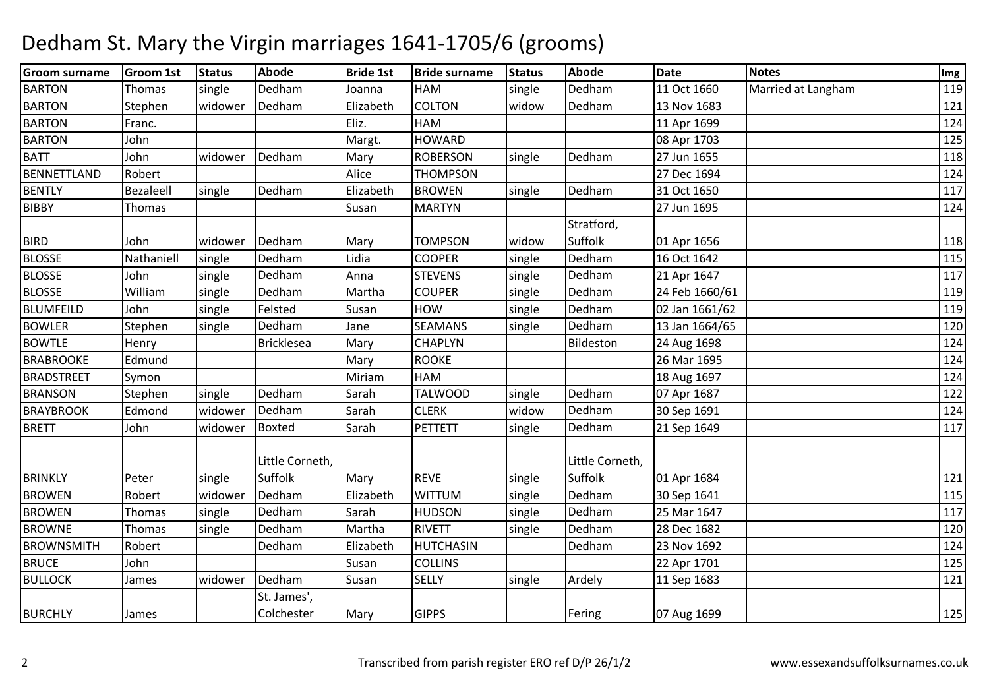| <b>Groom surname</b> | <b>Groom 1st</b> | Status  | <b>Abode</b>              | <b>Bride 1st</b> | <b>Bride surname</b> | <b>Status</b> | <b>Abode</b>    | <b>Date</b>    | <b>Notes</b>       | Img |
|----------------------|------------------|---------|---------------------------|------------------|----------------------|---------------|-----------------|----------------|--------------------|-----|
| <b>BARTON</b>        | Thomas           | single  | Dedham                    | Joanna           | HAM                  | single        | Dedham          | 11 Oct 1660    | Married at Langham | 119 |
| <b>BARTON</b>        | Stephen          | widower | Dedham                    | Elizabeth        | <b>COLTON</b>        | widow         | Dedham          | 13 Nov 1683    |                    | 121 |
| <b>BARTON</b>        | Franc.           |         |                           | Eliz.            | <b>HAM</b>           |               |                 | 11 Apr 1699    |                    | 124 |
| <b>BARTON</b>        | John             |         |                           | Margt.           | <b>HOWARD</b>        |               |                 | 08 Apr 1703    |                    | 125 |
| <b>BATT</b>          | John             | widower | Dedham                    | Mary             | <b>ROBERSON</b>      | single        | Dedham          | 27 Jun 1655    |                    | 118 |
| <b>BENNETTLAND</b>   | Robert           |         |                           | Alice            | <b>THOMPSON</b>      |               |                 | 27 Dec 1694    |                    | 124 |
| <b>BENTLY</b>        | Bezaleell        | single  | Dedham                    | Elizabeth        | <b>BROWEN</b>        | single        | Dedham          | 31 Oct 1650    |                    | 117 |
| <b>BIBBY</b>         | Thomas           |         |                           | Susan            | <b>MARTYN</b>        |               |                 | 27 Jun 1695    |                    | 124 |
|                      |                  |         |                           |                  |                      |               | Stratford,      |                |                    |     |
| <b>BIRD</b>          | John             | widower | Dedham                    | Mary             | <b>TOMPSON</b>       | widow         | Suffolk         | 01 Apr 1656    |                    | 118 |
| <b>BLOSSE</b>        | Nathaniell       | single  | Dedham                    | Lidia            | <b>COOPER</b>        | single        | Dedham          | 16 Oct 1642    |                    | 115 |
| <b>BLOSSE</b>        | John             | single  | Dedham                    | Anna             | <b>STEVENS</b>       | single        | Dedham          | 21 Apr 1647    |                    | 117 |
| <b>BLOSSE</b>        | William          | single  | Dedham                    | Martha           | <b>COUPER</b>        | single        | Dedham          | 24 Feb 1660/61 |                    | 119 |
| <b>BLUMFEILD</b>     | John             | single  | Felsted                   | Susan            | <b>HOW</b>           | single        | Dedham          | 02 Jan 1661/62 |                    | 119 |
| <b>BOWLER</b>        | Stephen          | single  | Dedham                    | Jane             | <b>SEAMANS</b>       | single        | Dedham          | 13 Jan 1664/65 |                    | 120 |
| <b>BOWTLE</b>        | Henry            |         | Bricklesea                | Mary             | <b>CHAPLYN</b>       |               | Bildeston       | 24 Aug 1698    |                    | 124 |
| <b>BRABROOKE</b>     | Edmund           |         |                           | Mary             | <b>ROOKE</b>         |               |                 | 26 Mar 1695    |                    | 124 |
| <b>BRADSTREET</b>    | Symon            |         |                           | Miriam           | <b>HAM</b>           |               |                 | 18 Aug 1697    |                    | 124 |
| <b>BRANSON</b>       | Stephen          | single  | Dedham                    | Sarah            | <b>TALWOOD</b>       | single        | Dedham          | 07 Apr 1687    |                    | 122 |
| <b>BRAYBROOK</b>     | Edmond           | widower | Dedham                    | Sarah            | <b>CLERK</b>         | widow         | Dedham          | 30 Sep 1691    |                    | 124 |
| <b>BRETT</b>         | John             | widower | <b>Boxted</b>             | Sarah            | <b>PETTETT</b>       | single        | Dedham          | 21 Sep 1649    |                    | 117 |
|                      |                  |         | Little Corneth,           |                  |                      |               | Little Corneth, |                |                    |     |
| <b>BRINKLY</b>       | Peter            | single  | Suffolk                   | Mary             | <b>REVE</b>          | single        | Suffolk         | 01 Apr 1684    |                    | 121 |
| <b>BROWEN</b>        | Robert           | widower | Dedham                    | Elizabeth        | <b>WITTUM</b>        | single        | Dedham          | 30 Sep 1641    |                    | 115 |
| <b>BROWEN</b>        | Thomas           | single  | Dedham                    | Sarah            | <b>HUDSON</b>        | single        | Dedham          | 25 Mar 1647    |                    | 117 |
| <b>BROWNE</b>        | Thomas           | single  | Dedham                    | Martha           | <b>RIVETT</b>        | single        | Dedham          | 28 Dec 1682    |                    | 120 |
| <b>BROWNSMITH</b>    | Robert           |         | Dedham                    | Elizabeth        | <b>HUTCHASIN</b>     |               | Dedham          | 23 Nov 1692    |                    | 124 |
| <b>BRUCE</b>         | John             |         |                           | Susan            | <b>COLLINS</b>       |               |                 | 22 Apr 1701    |                    | 125 |
| <b>BULLOCK</b>       | James            | widower | Dedham                    | Susan            | <b>SELLY</b>         | single        | Ardely          | 11 Sep 1683    |                    | 121 |
| <b>BURCHLY</b>       | James            |         | St. James',<br>Colchester | Mary             | <b>GIPPS</b>         |               | Fering          | 07 Aug 1699    |                    | 125 |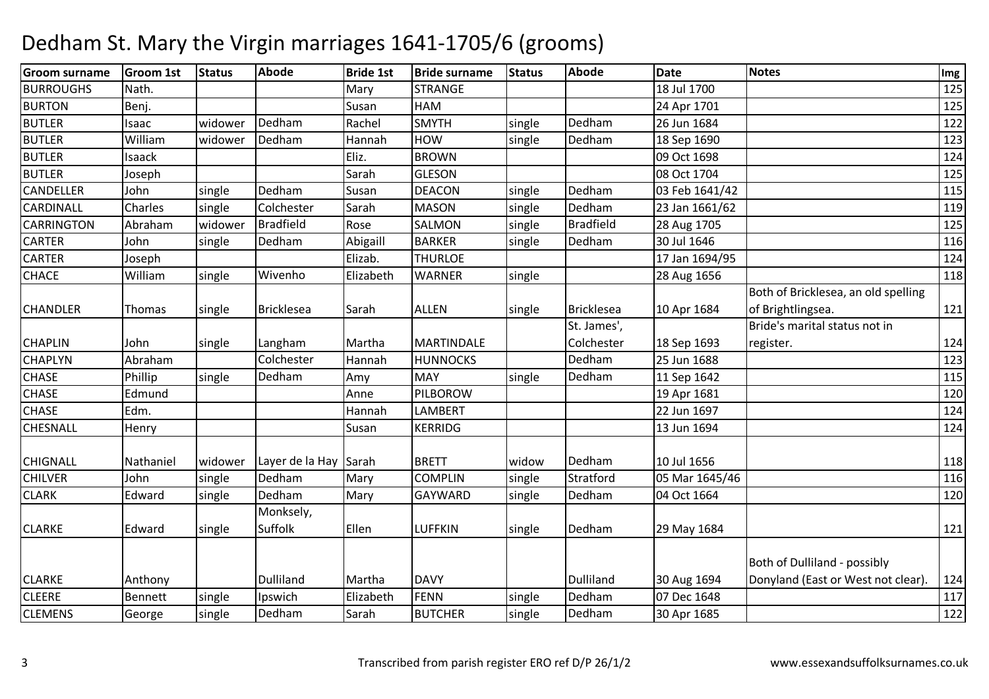| Groom surname     | <b>Groom 1st</b> | <b>Status</b> | Abode                 | <b>Bride 1st</b> | <b>Bride surname</b> | <b>Status</b> | Abode             | <b>Date</b>    | <b>Notes</b>                        | Img |
|-------------------|------------------|---------------|-----------------------|------------------|----------------------|---------------|-------------------|----------------|-------------------------------------|-----|
| <b>BURROUGHS</b>  | Nath.            |               |                       | Mary             | <b>STRANGE</b>       |               |                   | 18 Jul 1700    |                                     | 125 |
| <b>BURTON</b>     | Benj.            |               |                       | Susan            | HAM                  |               |                   | 24 Apr 1701    |                                     | 125 |
| <b>BUTLER</b>     | Isaac            | widower       | Dedham                | Rachel           | <b>SMYTH</b>         | single        | Dedham            | 26 Jun 1684    |                                     | 122 |
| <b>BUTLER</b>     | William          | widower       | Dedham                | Hannah           | <b>HOW</b>           | single        | Dedham            | 18 Sep 1690    |                                     | 123 |
| <b>BUTLER</b>     | <b>Isaack</b>    |               |                       | Eliz.            | <b>BROWN</b>         |               |                   | 09 Oct 1698    |                                     | 124 |
| <b>BUTLER</b>     | Joseph           |               |                       | Sarah            | <b>GLESON</b>        |               |                   | 08 Oct 1704    |                                     | 125 |
| <b>CANDELLER</b>  | John             | single        | Dedham                | Susan            | <b>DEACON</b>        | single        | Dedham            | 03 Feb 1641/42 |                                     | 115 |
| <b>CARDINALL</b>  | Charles          | single        | Colchester            | Sarah            | <b>MASON</b>         | single        | Dedham            | 23 Jan 1661/62 |                                     | 119 |
| <b>CARRINGTON</b> | Abraham          | widower       | <b>Bradfield</b>      | Rose             | <b>SALMON</b>        | single        | <b>Bradfield</b>  | 28 Aug 1705    |                                     | 125 |
| <b>CARTER</b>     | John             | single        | Dedham                | Abigaill         | <b>BARKER</b>        | single        | Dedham            | 30 Jul 1646    |                                     | 116 |
| <b>CARTER</b>     | Joseph           |               |                       | Elizab.          | <b>THURLOE</b>       |               |                   | 17 Jan 1694/95 |                                     | 124 |
| <b>CHACE</b>      | William          | single        | Wivenho               | Elizabeth        | <b>WARNER</b>        | single        |                   | 28 Aug 1656    |                                     | 118 |
|                   |                  |               |                       |                  |                      |               |                   |                | Both of Bricklesea, an old spelling |     |
| <b>CHANDLER</b>   | Thomas           | single        | <b>Bricklesea</b>     | Sarah            | <b>ALLEN</b>         | single        | <b>Bricklesea</b> | 10 Apr 1684    | of Brightlingsea.                   | 121 |
|                   |                  |               |                       |                  |                      |               | St. James',       |                | Bride's marital status not in       |     |
| <b>CHAPLIN</b>    | John             | single        | Langham               | Martha           | <b>MARTINDALE</b>    |               | Colchester        | 18 Sep 1693    | register.                           | 124 |
| <b>CHAPLYN</b>    | Abraham          |               | Colchester            | Hannah           | <b>HUNNOCKS</b>      |               | Dedham            | 25 Jun 1688    |                                     | 123 |
| <b>CHASE</b>      | Phillip          | single        | Dedham                | Amy              | <b>MAY</b>           | single        | Dedham            | 11 Sep 1642    |                                     | 115 |
| <b>CHASE</b>      | Edmund           |               |                       | Anne             | PILBOROW             |               |                   | 19 Apr 1681    |                                     | 120 |
| <b>CHASE</b>      | Edm.             |               |                       | Hannah           | LAMBERT              |               |                   | 22 Jun 1697    |                                     | 124 |
| <b>CHESNALL</b>   | Henry            |               |                       | Susan            | <b>KERRIDG</b>       |               |                   | 13 Jun 1694    |                                     | 124 |
| <b>CHIGNALL</b>   | Nathaniel        | widower       | Layer de la Hay Sarah |                  | <b>BRETT</b>         | widow         | Dedham            | 10 Jul 1656    |                                     | 118 |
| <b>CHILVER</b>    | John             | single        | Dedham                | Mary             | <b>COMPLIN</b>       | single        | Stratford         | 05 Mar 1645/46 |                                     | 116 |
| <b>CLARK</b>      | Edward           | single        | Dedham                | Mary             | GAYWARD              | single        | Dedham            | 04 Oct 1664    |                                     | 120 |
|                   |                  |               | Monksely,             |                  |                      |               |                   |                |                                     |     |
| <b>CLARKE</b>     | Edward           | single        | Suffolk               | Ellen            | <b>LUFFKIN</b>       | single        | Dedham            | 29 May 1684    |                                     | 121 |
|                   |                  |               |                       |                  |                      |               |                   |                |                                     |     |
|                   |                  |               |                       |                  |                      |               |                   |                | Both of Dulliland - possibly        |     |
| <b>CLARKE</b>     | Anthony          |               | Dulliland             | Martha           | <b>DAVY</b>          |               | Dulliland         | 30 Aug 1694    | Donyland (East or West not clear).  | 124 |
| <b>CLEERE</b>     | Bennett          | single        | Ipswich               | Elizabeth        | <b>FENN</b>          | single        | Dedham            | 07 Dec 1648    |                                     | 117 |
| <b>CLEMENS</b>    | George           | single        | Dedham                | Sarah            | <b>BUTCHER</b>       | single        | Dedham            | 30 Apr 1685    |                                     | 122 |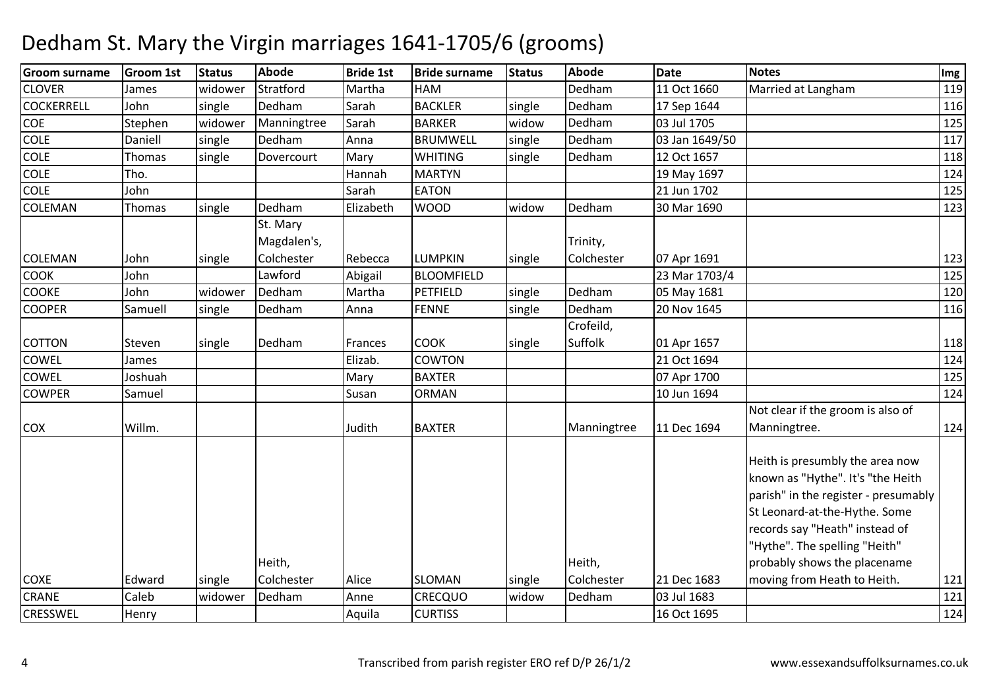| <b>Groom surname</b> | <b>Groom 1st</b> | <b>Status</b> | Abode       | <b>Bride 1st</b> | <b>Bride surname</b> | <b>Status</b> | <b>Abode</b> | <b>Date</b>    | <b>Notes</b>                                                                                                                                                                                                     | Img |
|----------------------|------------------|---------------|-------------|------------------|----------------------|---------------|--------------|----------------|------------------------------------------------------------------------------------------------------------------------------------------------------------------------------------------------------------------|-----|
| <b>CLOVER</b>        | James            | widower       | Stratford   | Martha           | HAM                  |               | Dedham       | 11 Oct 1660    | Married at Langham                                                                                                                                                                                               | 119 |
| <b>COCKERRELL</b>    | John             | single        | Dedham      | Sarah            | <b>BACKLER</b>       | single        | Dedham       | 17 Sep 1644    |                                                                                                                                                                                                                  | 116 |
| <b>COE</b>           | Stephen          | widower       | Manningtree | Sarah            | <b>BARKER</b>        | widow         | Dedham       | 03 Jul 1705    |                                                                                                                                                                                                                  | 125 |
| <b>COLE</b>          | Daniell          | single        | Dedham      | Anna             | <b>BRUMWELL</b>      | single        | Dedham       | 03 Jan 1649/50 |                                                                                                                                                                                                                  | 117 |
| <b>COLE</b>          | <b>Thomas</b>    | single        | Dovercourt  | Mary             | <b>WHITING</b>       | single        | Dedham       | 12 Oct 1657    |                                                                                                                                                                                                                  | 118 |
| <b>COLE</b>          | Tho.             |               |             | Hannah           | <b>MARTYN</b>        |               |              | 19 May 1697    |                                                                                                                                                                                                                  | 124 |
| <b>COLE</b>          | John             |               |             | Sarah            | <b>EATON</b>         |               |              | 21 Jun 1702    |                                                                                                                                                                                                                  | 125 |
| <b>COLEMAN</b>       | <b>Thomas</b>    | single        | Dedham      | Elizabeth        | <b>WOOD</b>          | widow         | Dedham       | 30 Mar 1690    |                                                                                                                                                                                                                  | 123 |
|                      |                  |               | St. Mary    |                  |                      |               |              |                |                                                                                                                                                                                                                  |     |
|                      |                  |               | Magdalen's, |                  |                      |               | Trinity,     |                |                                                                                                                                                                                                                  |     |
| <b>COLEMAN</b>       | John             | single        | Colchester  | Rebecca          | <b>LUMPKIN</b>       | single        | Colchester   | 07 Apr 1691    |                                                                                                                                                                                                                  | 123 |
| <b>COOK</b>          | John             |               | Lawford     | Abigail          | <b>BLOOMFIELD</b>    |               |              | 23 Mar 1703/4  |                                                                                                                                                                                                                  | 125 |
| <b>COOKE</b>         | John             | widower       | Dedham      | Martha           | PETFIELD             | single        | Dedham       | 05 May 1681    |                                                                                                                                                                                                                  | 120 |
| <b>COOPER</b>        | Samuell          | single        | Dedham      | Anna             | <b>FENNE</b>         | single        | Dedham       | 20 Nov 1645    |                                                                                                                                                                                                                  | 116 |
|                      |                  |               |             |                  |                      |               | Crofeild,    |                |                                                                                                                                                                                                                  |     |
| <b>COTTON</b>        | Steven           | single        | Dedham      | Frances          | <b>COOK</b>          | single        | Suffolk      | 01 Apr 1657    |                                                                                                                                                                                                                  | 118 |
| <b>COWEL</b>         | James            |               |             | Elizab.          | <b>COWTON</b>        |               |              | 21 Oct 1694    |                                                                                                                                                                                                                  | 124 |
| COWEL                | Joshuah          |               |             | Mary             | <b>BAXTER</b>        |               |              | 07 Apr 1700    |                                                                                                                                                                                                                  | 125 |
| <b>COWPER</b>        | Samuel           |               |             | Susan            | <b>ORMAN</b>         |               |              | 10 Jun 1694    |                                                                                                                                                                                                                  | 124 |
|                      |                  |               |             |                  |                      |               |              |                | Not clear if the groom is also of                                                                                                                                                                                |     |
| <b>COX</b>           | Willm.           |               |             | Judith           | <b>BAXTER</b>        |               | Manningtree  | 11 Dec 1694    | Manningtree.                                                                                                                                                                                                     | 124 |
|                      |                  |               |             |                  |                      |               |              |                | Heith is presumbly the area now<br>known as "Hythe". It's "the Heith<br>parish" in the register - presumably<br>St Leonard-at-the-Hythe. Some<br>records say "Heath" instead of<br>'Hythe". The spelling "Heith" |     |
|                      |                  |               | Heith,      |                  |                      |               | Heith,       |                | probably shows the placename                                                                                                                                                                                     |     |
| <b>COXE</b>          | Edward           | single        | Colchester  | Alice            | <b>SLOMAN</b>        | single        | Colchester   | 21 Dec 1683    | moving from Heath to Heith.                                                                                                                                                                                      | 121 |
| <b>CRANE</b>         | Caleb            | widower       | Dedham      | Anne             | CRECQUO              | widow         | Dedham       | 03 Jul 1683    |                                                                                                                                                                                                                  | 121 |
| <b>CRESSWEL</b>      | Henry            |               |             | Aquila           | <b>CURTISS</b>       |               |              | 16 Oct 1695    |                                                                                                                                                                                                                  | 124 |
|                      |                  |               |             |                  |                      |               |              |                |                                                                                                                                                                                                                  |     |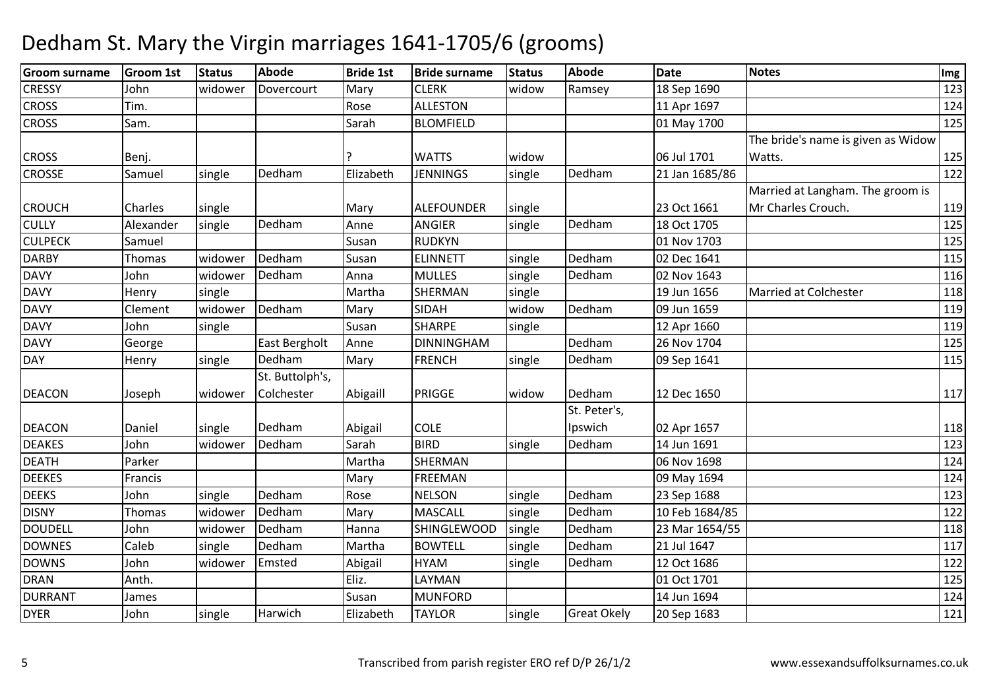| <b>Groom surname</b> | <b>Groom 1st</b> | <b>Status</b> | <b>Abode</b>    | <b>Bride 1st</b> | <b>Bride surname</b> | <b>Status</b> | Abode              | <b>Date</b>    | <b>Notes</b>                       | Img |
|----------------------|------------------|---------------|-----------------|------------------|----------------------|---------------|--------------------|----------------|------------------------------------|-----|
| <b>CRESSY</b>        | John             | widower       | Dovercourt      | Mary             | <b>CLERK</b>         | widow         | Ramsey             | 18 Sep 1690    |                                    | 123 |
| <b>CROSS</b>         | Tim.             |               |                 | Rose             | <b>ALLESTON</b>      |               |                    | 11 Apr 1697    |                                    | 124 |
| <b>CROSS</b>         | Sam.             |               |                 | Sarah            | <b>BLOMFIELD</b>     |               |                    | 01 May 1700    |                                    | 125 |
|                      |                  |               |                 |                  |                      |               |                    |                | The bride's name is given as Widow |     |
| <b>CROSS</b>         | Benj.            |               |                 |                  | <b>WATTS</b>         | widow         |                    | 06 Jul 1701    | Watts.                             | 125 |
| <b>CROSSE</b>        | Samuel           | single        | Dedham          | Elizabeth        | <b>JENNINGS</b>      | single        | Dedham             | 21 Jan 1685/86 |                                    | 122 |
|                      |                  |               |                 |                  |                      |               |                    |                | Married at Langham. The groom is   |     |
| <b>CROUCH</b>        | Charles          | single        |                 | Mary             | <b>ALEFOUNDER</b>    | single        |                    | 23 Oct 1661    | Mr Charles Crouch.                 | 119 |
| <b>CULLY</b>         | Alexander        | single        | Dedham          | Anne             | ANGIER               | single        | Dedham             | 18 Oct 1705    |                                    | 125 |
| <b>CULPECK</b>       | Samuel           |               |                 | Susan            | <b>RUDKYN</b>        |               |                    | 01 Nov 1703    |                                    | 125 |
| <b>DARBY</b>         | Thomas           | widower       | Dedham          | Susan            | <b>ELINNETT</b>      | single        | Dedham             | 02 Dec 1641    |                                    | 115 |
| <b>DAVY</b>          | John             | widower       | Dedham          | Anna             | <b>MULLES</b>        | single        | Dedham             | 02 Nov 1643    |                                    | 116 |
| <b>DAVY</b>          | Henry            | single        |                 | Martha           | <b>SHERMAN</b>       | single        |                    | 19 Jun 1656    | <b>Married at Colchester</b>       | 118 |
| <b>DAVY</b>          | Clement          | widower       | Dedham          | Mary             | <b>SIDAH</b>         | widow         | Dedham             | 09 Jun 1659    |                                    | 119 |
| <b>DAVY</b>          | John             | single        |                 | Susan            | <b>SHARPE</b>        | single        |                    | 12 Apr 1660    |                                    | 119 |
| <b>DAVY</b>          | George           |               | East Bergholt   | Anne             | <b>DINNINGHAM</b>    |               | Dedham             | 26 Nov 1704    |                                    | 125 |
| <b>DAY</b>           | Henry            | single        | Dedham          | Mary             | <b>FRENCH</b>        | single        | Dedham             | 09 Sep 1641    |                                    | 115 |
|                      |                  |               | St. Buttolph's, |                  |                      |               |                    |                |                                    |     |
| <b>DEACON</b>        | Joseph           | widower       | Colchester      | Abigaill         | PRIGGE               | widow         | Dedham             | 12 Dec 1650    |                                    | 117 |
|                      |                  |               |                 |                  |                      |               | St. Peter's,       |                |                                    |     |
| <b>DEACON</b>        | Daniel           | single        | Dedham          | Abigail          | <b>COLE</b>          |               | Ipswich            | 02 Apr 1657    |                                    | 118 |
| <b>DEAKES</b>        | John             | widower       | Dedham          | Sarah            | <b>BIRD</b>          | single        | Dedham             | 14 Jun 1691    |                                    | 123 |
| <b>DEATH</b>         | Parker           |               |                 | Martha           | <b>SHERMAN</b>       |               |                    | 06 Nov 1698    |                                    | 124 |
| <b>DEEKES</b>        | Francis          |               |                 | Mary             | <b>FREEMAN</b>       |               |                    | 09 May 1694    |                                    | 124 |
| <b>DEEKS</b>         | John             | single        | Dedham          | Rose             | <b>NELSON</b>        | single        | Dedham             | 23 Sep 1688    |                                    | 123 |
| <b>DISNY</b>         | Thomas           | widower       | Dedham          | Mary             | <b>MASCALL</b>       | single        | Dedham             | 10 Feb 1684/85 |                                    | 122 |
| <b>DOUDELL</b>       | John             | widower       | Dedham          | Hanna            | <b>SHINGLEWOOD</b>   | single        | Dedham             | 23 Mar 1654/55 |                                    | 118 |
| <b>DOWNES</b>        | Caleb            | single        | Dedham          | Martha           | <b>BOWTELL</b>       | single        | Dedham             | 21 Jul 1647    |                                    | 117 |
| <b>DOWNS</b>         | John             | widower       | Emsted          | Abigail          | <b>HYAM</b>          | single        | Dedham             | 12 Oct 1686    |                                    | 122 |
| <b>DRAN</b>          | Anth.            |               |                 | Eliz.            | LAYMAN               |               |                    | 01 Oct 1701    |                                    | 125 |
| <b>DURRANT</b>       | James            |               |                 | Susan            | <b>MUNFORD</b>       |               |                    | 14 Jun 1694    |                                    | 124 |
| <b>DYER</b>          | John             | single        | Harwich         | Elizabeth        | <b>TAYLOR</b>        | single        | <b>Great Okely</b> | 20 Sep 1683    |                                    | 121 |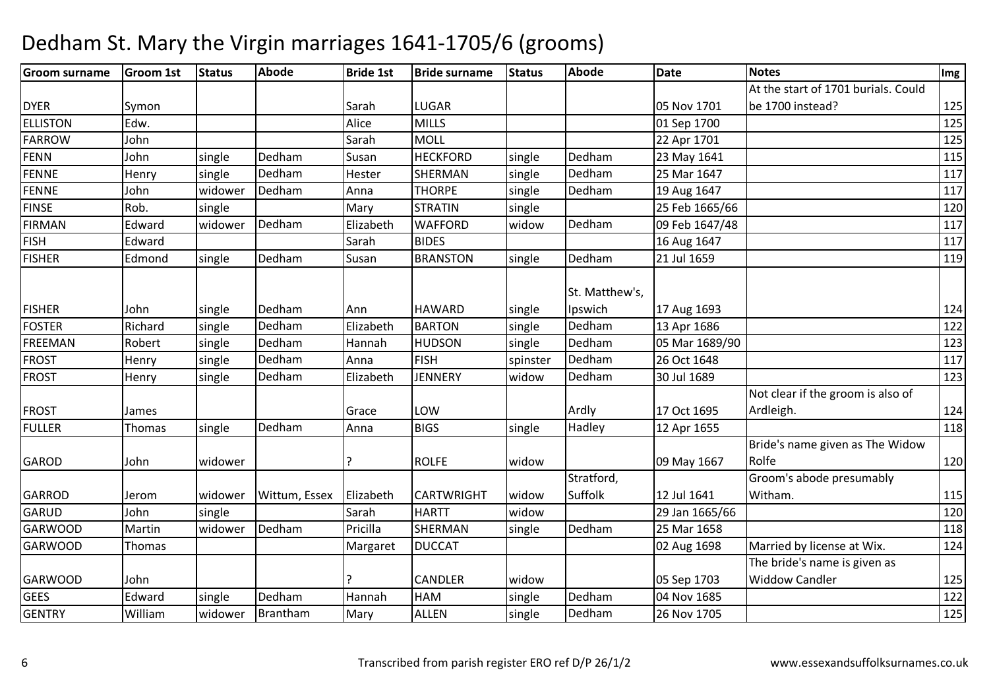#### **Groom surname Groom 1st Status Abode Bride 1st Bride surname Status Abode Date Notes Img** DYER Symon Symon Symon Superintendent Sarah LUGAR LUGAR 05 Nov 1701<br>MILLS 01 Sep 1700 At the start of 1701 burials. Could be 1700 instead? <sup>125</sup>125 ELLISTONN Edw. 2125 FARROWw John John Sarah MOLL 22 Apr 1701 125<br>John Sixals Pedham Susan UESKEOPP sixals Pedham 23 May 1644 FENNN John single Dedham m Susan HECKFORD single Dedham 23 May 1641 115<br>115 FENNEHenry single Dedham Hester SHERMAN single Dedham 25 Mar 1647 <sup>117</sup> FENNE JohnJohn widower Dedham<br>Rob. single m Anna THORPE single Dedham 19 Aug 1647 1117<br>117 FINSEsingle Mary **STRATIN** N | single | 25 Feb 1665/66 | 120 FIRMANEdward widower Dedham<br>Edward m Elizabeth WAFFORD widow Dedham 09 Feb 1647/48 1117<br>117 FISH Edward Sarah BIDES 16 Aug 1647 <sup>117</sup> FISHERR Edmond single Dedham m Susan BRANSTON single Dedham 21 Jul 1659 119 FISHER John single Dedham m Ann HAWARD single St. Matthew's, IpswichIpswich 17 Aug 1693<br>Dedham 13 Apr 1686 <sup>124</sup> FOSTERRichard single Dedham<br>Robert single Dedham m Elizabeth BARTON single Dedham 13 Apr 1686 1222<br>1922 - Elizabeth BARTON single Dedham 13 Apr 1686 FREEMANN Robert single Dedham m Hannah HUDSON single Dedham 05 Mar 1689/90 123 m FROST Henry single Dedhamm Anna FISH spinster Dedham 26 Oct 1648 117<br>The Second Contract of the Contract of the Second Contract of the Contract of the Contract of the Contract of FROSTHenry single Dedham Elizabeth JENNERY widow Dedham 30 Jul 1689 <sup>123</sup> FROST James Junes Grace LOW  $W$  Ardly 17 Oct 1695 Not clear if the groom is also of Ardleigh. 124118 FULLERR Thomas single Dedham m Anna BIGS single Hadley 12 Apr 1655 118 118 GAROD John widower ? ROLFE widow Jo9 May 1667 Bride's name given as The Widow Rolfee 120 GARROD Jerom widower Wittum, Essex Elizabeth CARTWRIGHT widowwidow Stratford, Suffolk 12 Jul 1641w 29 Jan 1665/66 120 120 Groom's abode presumably Witham. 115120 **GARUD** D John single Sarah HARTT widow GARWOODMartin widower Dedham<br>Thomas Pricilla SHERMAN single Dedham 25 Mar 1658 <sup>118</sup> GARWOODD Thomas National Margaret DUCCAT 124 GARWOOD John ? CANDLER widow 05 Sep 170304 Nov 1685 The bride's name is given as Widdow Candler <sup>125</sup>122 **GEES**  Edwardsingle Dedham **Dedham Hannah HAM**<br>Brantham Marv ALLEN M single Dedham 04 Nov 1685 122<br>
Shi bada badhara 26 Nov 1795 122 **GENTRY**  Williamm widower Brantham Mary ALLEN single Dedham 26 Nov 1705 125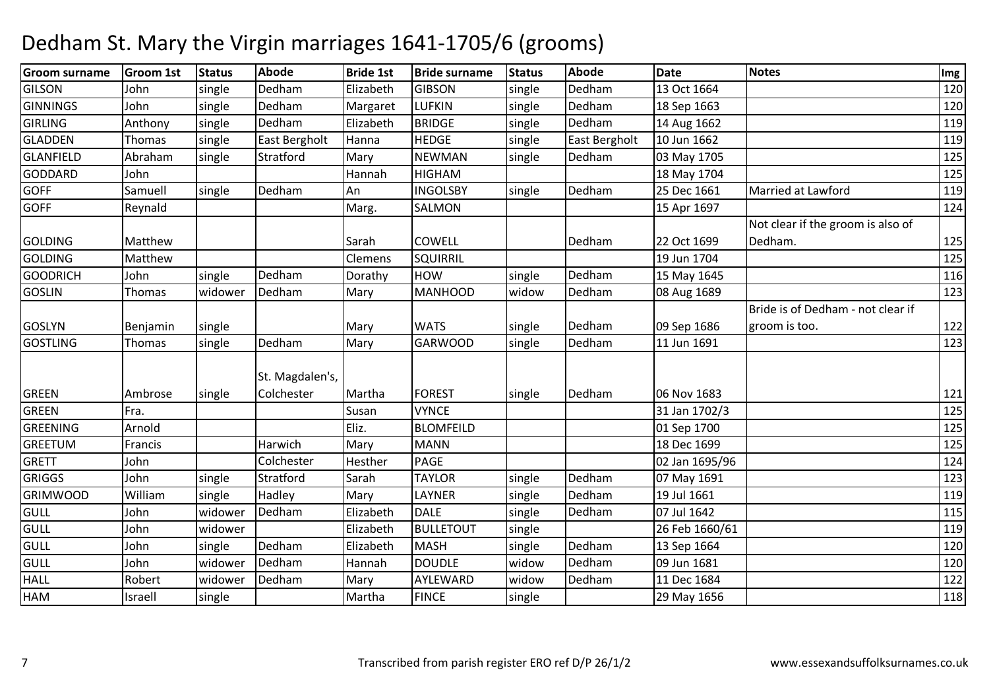| <b>Groom surname</b> | <b>Groom 1st</b> | <b>Status</b> | Abode           | <b>Bride 1st</b> | <b>Bride surname</b> | <b>Status</b> | <b>Abode</b>  | <b>Date</b>    | <b>Notes</b>                      | $\lfloor \mathsf{Img} \rfloor$ |
|----------------------|------------------|---------------|-----------------|------------------|----------------------|---------------|---------------|----------------|-----------------------------------|--------------------------------|
| <b>GILSON</b>        | John             | single        | Dedham          | Elizabeth        | <b>GIBSON</b>        | single        | Dedham        | 13 Oct 1664    |                                   | 120                            |
| <b>GINNINGS</b>      | John             | single        | Dedham          | Margaret         | <b>LUFKIN</b>        | single        | Dedham        | 18 Sep 1663    |                                   | 120                            |
| <b>GIRLING</b>       | Anthony          | single        | Dedham          | Elizabeth        | <b>BRIDGE</b>        | single        | Dedham        | 14 Aug 1662    |                                   | 119                            |
| <b>GLADDEN</b>       | Thomas           | single        | East Bergholt   | Hanna            | <b>HEDGE</b>         | single        | East Bergholt | 10 Jun 1662    |                                   | 119                            |
| GLANFIELD            | Abraham          | single        | Stratford       | Mary             | <b>NEWMAN</b>        | single        | Dedham        | 03 May 1705    |                                   | 125                            |
| <b>GODDARD</b>       | John             |               |                 | Hannah           | <b>HIGHAM</b>        |               |               | 18 May 1704    |                                   | 125                            |
| <b>GOFF</b>          | Samuell          | single        | Dedham          | l An             | <b>INGOLSBY</b>      | single        | Dedham        | 25 Dec 1661    | Married at Lawford                | 119                            |
| <b>GOFF</b>          | Reynald          |               |                 | Marg.            | SALMON               |               |               | 15 Apr 1697    |                                   | 124                            |
|                      |                  |               |                 |                  |                      |               |               |                | Not clear if the groom is also of |                                |
| <b>GOLDING</b>       | Matthew          |               |                 | Sarah            | <b>COWELL</b>        |               | Dedham        | 22 Oct 1699    | Dedham.                           | 125                            |
| <b>GOLDING</b>       | Matthew          |               |                 | Clemens          | SQUIRRIL             |               |               | 19 Jun 1704    |                                   | 125                            |
| <b>GOODRICH</b>      | John             | single        | Dedham          | Dorathy          | <b>HOW</b>           | single        | Dedham        | 15 May 1645    |                                   | 116                            |
| <b>GOSLIN</b>        | Thomas           | widower       | Dedham          | Mary             | <b>MANHOOD</b>       | widow         | Dedham        | 08 Aug 1689    |                                   | 123                            |
|                      |                  |               |                 |                  |                      |               |               |                | Bride is of Dedham - not clear if |                                |
| <b>GOSLYN</b>        | Benjamin         | single        |                 | Mary             | <b>WATS</b>          | single        | Dedham        | 09 Sep 1686    | groom is too.                     | 122                            |
| <b>GOSTLING</b>      | Thomas           | single        | Dedham          | Mary             | <b>GARWOOD</b>       | single        | Dedham        | 11 Jun 1691    |                                   | 123                            |
|                      |                  |               | St. Magdalen's, |                  |                      |               |               |                |                                   |                                |
| <b>GREEN</b>         | Ambrose          | single        | Colchester      | Martha           | <b>FOREST</b>        | single        | Dedham        | 06 Nov 1683    |                                   | 121                            |
| <b>GREEN</b>         | Fra.             |               |                 | Susan            | <b>VYNCE</b>         |               |               | 31 Jan 1702/3  |                                   | 125                            |
| <b>GREENING</b>      | Arnold           |               |                 | Eliz.            | <b>BLOMFEILD</b>     |               |               | 01 Sep 1700    |                                   | 125                            |
| <b>GREETUM</b>       | Francis          |               | Harwich         | Mary             | <b>MANN</b>          |               |               | 18 Dec 1699    |                                   | 125                            |
| <b>GRETT</b>         | John             |               | Colchester      | Hesther          | <b>PAGE</b>          |               |               | 02 Jan 1695/96 |                                   | 124                            |
| <b>GRIGGS</b>        | John             | single        | Stratford       | Sarah            | <b>TAYLOR</b>        | single        | Dedham        | 07 May 1691    |                                   | 123                            |
| <b>GRIMWOOD</b>      | William          | single        | Hadley          | Mary             | LAYNER               | single        | Dedham        | 19 Jul 1661    |                                   | 119                            |
| GULL                 | John             | widower       | Dedham          | Elizabeth        | <b>DALE</b>          | single        | Dedham        | 07 Jul 1642    |                                   | 115                            |
| GULL                 | John             | widower       |                 | Elizabeth        | <b>BULLETOUT</b>     | single        |               | 26 Feb 1660/61 |                                   | 119                            |
| <b>GULL</b>          | John             | single        | Dedham          | Elizabeth        | <b>MASH</b>          | single        | Dedham        | 13 Sep 1664    |                                   | 120                            |
| <b>GULL</b>          | John             | widower       | Dedham          | Hannah           | <b>DOUDLE</b>        | widow         | Dedham        | 09 Jun 1681    |                                   | 120                            |
| <b>HALL</b>          | Robert           | widower       | Dedham          | Mary             | AYLEWARD             | widow         | Dedham        | 11 Dec 1684    |                                   | 122                            |
| <b>HAM</b>           | Israell          | single        |                 | Martha           | <b>FINCE</b>         | single        |               | 29 May 1656    |                                   | 118                            |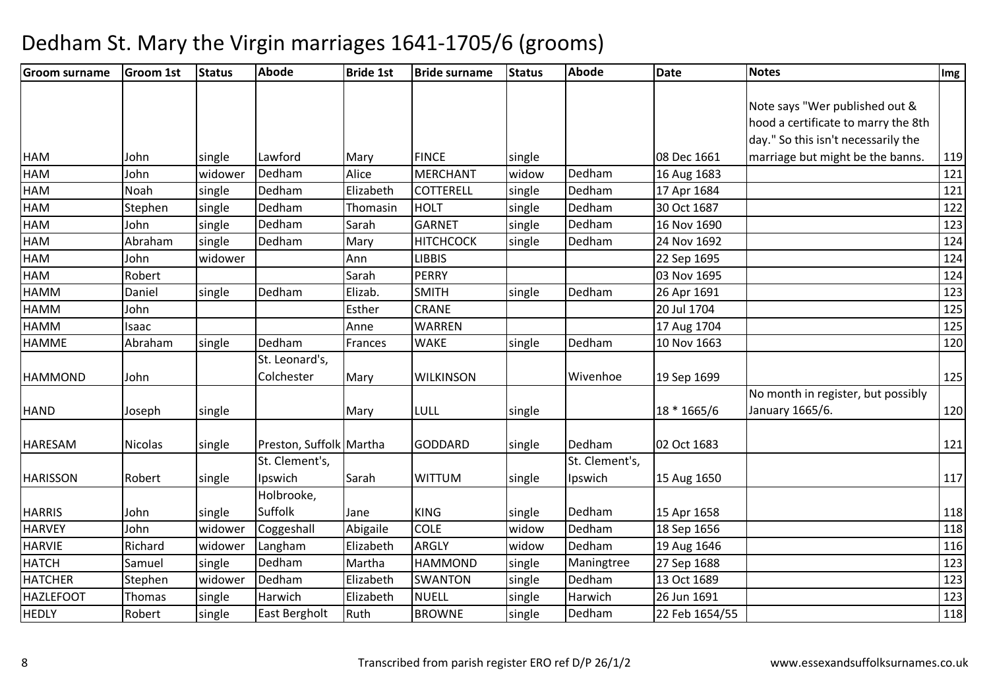| <b>Groom surname</b> | <b>Groom 1st</b> | <b>Status</b> | Abode                   | <b>Bride 1st</b> | <b>Bride surname</b> | Status | <b>Abode</b>   | <b>Date</b>    | <b>Notes</b>                        | Img |
|----------------------|------------------|---------------|-------------------------|------------------|----------------------|--------|----------------|----------------|-------------------------------------|-----|
|                      |                  |               |                         |                  |                      |        |                |                |                                     |     |
|                      |                  |               |                         |                  |                      |        |                |                | Note says "Wer published out &      |     |
|                      |                  |               |                         |                  |                      |        |                |                | hood a certificate to marry the 8th |     |
|                      |                  |               |                         |                  |                      |        |                |                | day." So this isn't necessarily the |     |
| <b>HAM</b>           | John             | single        | Lawford                 | Mary             | <b>FINCE</b>         | single |                | 08 Dec 1661    | marriage but might be the banns.    | 119 |
| <b>HAM</b>           | John             | widower       | Dedham                  | Alice            | <b>MERCHANT</b>      | widow  | Dedham         | 16 Aug 1683    |                                     | 121 |
| HAM                  | Noah             | single        | Dedham                  | Elizabeth        | <b>COTTERELL</b>     | single | Dedham         | 17 Apr 1684    |                                     | 121 |
| <b>HAM</b>           | Stephen          | single        | Dedham                  | Thomasin         | <b>HOLT</b>          | single | Dedham         | 30 Oct 1687    |                                     | 122 |
| HAM                  | John             | single        | Dedham                  | Sarah            | <b>GARNET</b>        | single | Dedham         | 16 Nov 1690    |                                     | 123 |
| <b>HAM</b>           | Abraham          | single        | Dedham                  | Mary             | <b>HITCHCOCK</b>     | single | Dedham         | 24 Nov 1692    |                                     | 124 |
| HAM                  | John             | widower       |                         | Ann              | <b>LIBBIS</b>        |        |                | 22 Sep 1695    |                                     | 124 |
| <b>HAM</b>           | Robert           |               |                         | Sarah            | <b>PERRY</b>         |        |                | 03 Nov 1695    |                                     | 124 |
| <b>HAMM</b>          | Daniel           | single        | Dedham                  | Elizab.          | <b>SMITH</b>         | single | Dedham         | 26 Apr 1691    |                                     | 123 |
| <b>HAMM</b>          | John             |               |                         | Esther           | <b>CRANE</b>         |        |                | 20 Jul 1704    |                                     | 125 |
| <b>HAMM</b>          | Isaac            |               |                         | Anne             | <b>WARREN</b>        |        |                | 17 Aug 1704    |                                     | 125 |
| <b>HAMME</b>         | Abraham          | single        | Dedham                  | Frances          | <b>WAKE</b>          | single | Dedham         | 10 Nov 1663    |                                     | 120 |
|                      |                  |               | St. Leonard's,          |                  |                      |        |                |                |                                     |     |
| <b>HAMMOND</b>       | John             |               | Colchester              | Mary             | <b>WILKINSON</b>     |        | Wivenhoe       | 19 Sep 1699    |                                     | 125 |
|                      |                  |               |                         |                  |                      |        |                |                | No month in register, but possibly  |     |
| <b>HAND</b>          | Joseph           | single        |                         | Mary             | LULL                 | single |                | 18 * 1665/6    | January 1665/6.                     | 120 |
|                      |                  |               |                         |                  |                      |        |                |                |                                     |     |
| <b>HARESAM</b>       | Nicolas          | single        | Preston, Suffolk Martha |                  | <b>GODDARD</b>       | single | Dedham         | 02 Oct 1683    |                                     | 121 |
|                      |                  |               | St. Clement's,          |                  |                      |        | St. Clement's, |                |                                     |     |
| <b>HARISSON</b>      | Robert           | single        | Ipswich                 | Sarah            | <b>WITTUM</b>        | single | Ipswich        | 15 Aug 1650    |                                     | 117 |
|                      |                  |               | Holbrooke,              |                  |                      |        |                |                |                                     |     |
| <b>HARRIS</b>        | John             | single        | Suffolk                 | Jane             | <b>KING</b>          | single | Dedham         | 15 Apr 1658    |                                     | 118 |
| <b>HARVEY</b>        | John             | widower       | Coggeshall              | Abigaile         | <b>COLE</b>          | widow  | Dedham         | 18 Sep 1656    |                                     | 118 |
| <b>HARVIE</b>        | Richard          | widower       | Langham                 | Elizabeth        | <b>ARGLY</b>         | widow  | Dedham         | 19 Aug 1646    |                                     | 116 |
| <b>HATCH</b>         | Samuel           | single        | Dedham                  | Martha           | <b>HAMMOND</b>       | single | Maningtree     | 27 Sep 1688    |                                     | 123 |
| <b>HATCHER</b>       | Stephen          | widower       | Dedham                  | Elizabeth        | <b>SWANTON</b>       | single | Dedham         | 13 Oct 1689    |                                     | 123 |
| <b>HAZLEFOOT</b>     | Thomas           | single        | Harwich                 | Elizabeth        | <b>NUELL</b>         | single | Harwich        | 26 Jun 1691    |                                     | 123 |
| <b>HEDLY</b>         | Robert           | single        | East Bergholt           | Ruth             | <b>BROWNE</b>        | single | Dedham         | 22 Feb 1654/55 |                                     | 118 |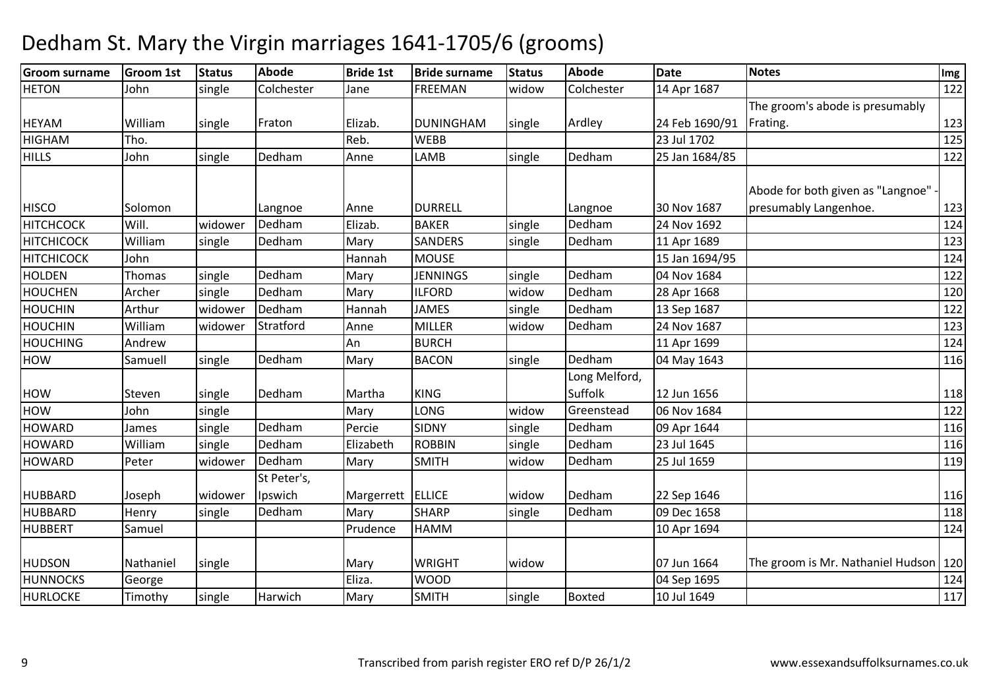| <b>Groom surname</b> | <b>Groom 1st</b> | Status  | <b>Abode</b> | <b>Bride 1st</b>  | <b>Bride surname</b> | <b>Status</b> | <b>Abode</b>  | <b>Date</b>    | <b>Notes</b>                            | Img |
|----------------------|------------------|---------|--------------|-------------------|----------------------|---------------|---------------|----------------|-----------------------------------------|-----|
| <b>HETON</b>         | John             | single  | Colchester   | Jane              | <b>FREEMAN</b>       | widow         | Colchester    | 14 Apr 1687    |                                         | 122 |
|                      |                  |         |              |                   |                      |               |               |                | The groom's abode is presumably         |     |
| <b>HEYAM</b>         | William          | single  | Fraton       | Elizab.           | <b>DUNINGHAM</b>     | single        | Ardley        | 24 Feb 1690/91 | Frating.                                | 123 |
| <b>HIGHAM</b>        | Tho.             |         |              | Reb.              | <b>WEBB</b>          |               |               | 23 Jul 1702    |                                         | 125 |
| <b>HILLS</b>         | John             | single  | Dedham       | Anne              | LAMB                 | single        | Dedham        | 25 Jan 1684/85 |                                         | 122 |
|                      |                  |         |              |                   |                      |               |               |                |                                         |     |
|                      |                  |         |              |                   |                      |               |               |                | Abode for both given as "Langnoe"       |     |
| <b>HISCO</b>         | Solomon          |         | Langnoe      | Anne              | <b>DURRELL</b>       |               | Langnoe       | 30 Nov 1687    | presumably Langenhoe.                   | 123 |
| <b>HITCHCOCK</b>     | Will.            | widower | Dedham       | Elizab.           | <b>BAKER</b>         | single        | Dedham        | 24 Nov 1692    |                                         | 124 |
| <b>HITCHICOCK</b>    | William          | single  | Dedham       | Mary              | <b>SANDERS</b>       | single        | Dedham        | 11 Apr 1689    |                                         | 123 |
| <b>HITCHICOCK</b>    | John             |         |              | Hannah            | <b>MOUSE</b>         |               |               | 15 Jan 1694/95 |                                         | 124 |
| <b>HOLDEN</b>        | Thomas           | single  | Dedham       | Mary              | <b>JENNINGS</b>      | single        | Dedham        | 04 Nov 1684    |                                         | 122 |
| <b>HOUCHEN</b>       | Archer           | single  | Dedham       | Mary              | <b>ILFORD</b>        | widow         | Dedham        | 28 Apr 1668    |                                         | 120 |
| <b>HOUCHIN</b>       | Arthur           | widower | Dedham       | Hannah            | <b>JAMES</b>         | single        | Dedham        | 13 Sep 1687    |                                         | 122 |
| <b>HOUCHIN</b>       | William          | widower | Stratford    | Anne              | <b>MILLER</b>        | widow         | Dedham        | 24 Nov 1687    |                                         | 123 |
| <b>HOUCHING</b>      | Andrew           |         |              | An                | <b>BURCH</b>         |               |               | 11 Apr 1699    |                                         | 124 |
| <b>HOW</b>           | Samuell          | single  | Dedham       | Mary              | <b>BACON</b>         | single        | Dedham        | 04 May 1643    |                                         | 116 |
|                      |                  |         |              |                   |                      |               | Long Melford, |                |                                         |     |
| <b>HOW</b>           | Steven           | single  | Dedham       | Martha            | <b>KING</b>          |               | Suffolk       | 12 Jun 1656    |                                         | 118 |
| HOW                  | John             | single  |              | Mary              | LONG                 | widow         | Greenstead    | 06 Nov 1684    |                                         | 122 |
| <b>HOWARD</b>        | James            | single  | Dedham       | Percie            | <b>SIDNY</b>         | single        | Dedham        | 09 Apr 1644    |                                         | 116 |
| <b>HOWARD</b>        | William          | single  | Dedham       | Elizabeth         | <b>ROBBIN</b>        | single        | Dedham        | 23 Jul 1645    |                                         | 116 |
| <b>HOWARD</b>        | Peter            | widower | Dedham       | Mary              | <b>SMITH</b>         | widow         | Dedham        | 25 Jul 1659    |                                         | 119 |
|                      |                  |         | St Peter's,  |                   |                      |               |               |                |                                         |     |
| HUBBARD              | Joseph           | widower | Ipswich      | Margerrett ELLICE |                      | widow         | Dedham        | 22 Sep 1646    |                                         | 116 |
| <b>HUBBARD</b>       | Henry            | single  | Dedham       | Mary              | <b>SHARP</b>         | single        | Dedham        | 09 Dec 1658    |                                         | 118 |
| <b>HUBBERT</b>       | Samuel           |         |              | Prudence          | <b>HAMM</b>          |               |               | 10 Apr 1694    |                                         | 124 |
|                      |                  |         |              |                   |                      |               |               |                |                                         |     |
| <b>HUDSON</b>        | Nathaniel        | single  |              | Mary              | <b>WRIGHT</b>        | widow         |               | 07 Jun 1664    | The groom is Mr. Nathaniel Hudson   120 |     |
| <b>HUNNOCKS</b>      | George           |         |              | Eliza.            | <b>WOOD</b>          |               |               | 04 Sep 1695    |                                         | 124 |
| <b>HURLOCKE</b>      | Timothy          | single  | Harwich      | Mary              | <b>SMITH</b>         | single        | Boxted        | 10 Jul 1649    |                                         | 117 |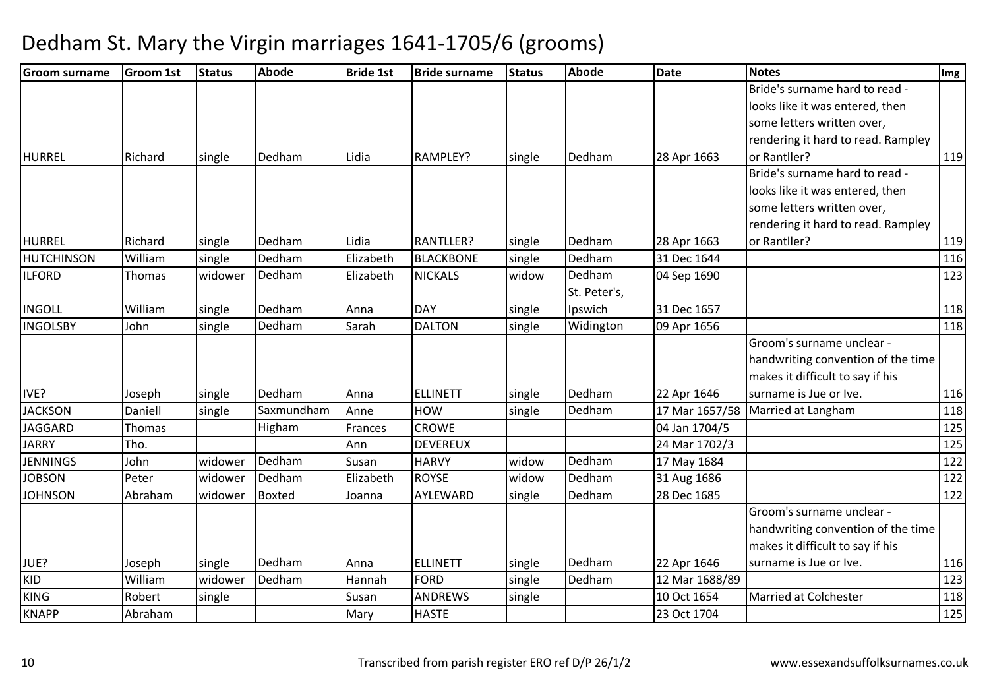| <b>Groom surname</b> | <b>Groom 1st</b> | <b>Status</b> | <b>Abode</b>  | <b>Bride 1st</b> | <b>Bride surname</b> | <b>Status</b> | <b>Abode</b> | <b>Date</b>    | <b>Notes</b>                       | Img |
|----------------------|------------------|---------------|---------------|------------------|----------------------|---------------|--------------|----------------|------------------------------------|-----|
|                      |                  |               |               |                  |                      |               |              |                | Bride's surname hard to read -     |     |
|                      |                  |               |               |                  |                      |               |              |                | looks like it was entered, then    |     |
|                      |                  |               |               |                  |                      |               |              |                | some letters written over,         |     |
|                      |                  |               |               |                  |                      |               |              |                | rendering it hard to read. Rampley |     |
| <b>HURREL</b>        | Richard          | single        | Dedham        | Lidia            | RAMPLEY?             | single        | Dedham       | 28 Apr 1663    | or Rantller?                       | 119 |
|                      |                  |               |               |                  |                      |               |              |                | Bride's surname hard to read -     |     |
|                      |                  |               |               |                  |                      |               |              |                | looks like it was entered, then    |     |
|                      |                  |               |               |                  |                      |               |              |                | some letters written over,         |     |
|                      |                  |               |               |                  |                      |               |              |                | rendering it hard to read. Rampley |     |
| <b>HURREL</b>        | Richard          | single        | Dedham        | Lidia            | <b>RANTLLER?</b>     | single        | Dedham       | 28 Apr 1663    | or Rantller?                       | 119 |
| <b>HUTCHINSON</b>    | William          | single        | Dedham        | Elizabeth        | <b>BLACKBONE</b>     | single        | Dedham       | 31 Dec 1644    |                                    | 116 |
| <b>ILFORD</b>        | <b>Thomas</b>    | widower       | Dedham        | Elizabeth        | <b>NICKALS</b>       | widow         | Dedham       | 04 Sep 1690    |                                    | 123 |
|                      |                  |               |               |                  |                      |               | St. Peter's, |                |                                    |     |
| <b>INGOLL</b>        | William          | single        | Dedham        | Anna             | <b>DAY</b>           | single        | Ipswich      | 31 Dec 1657    |                                    | 118 |
| <b>INGOLSBY</b>      | John             | single        | Dedham        | Sarah            | <b>DALTON</b>        | single        | Widington    | 09 Apr 1656    |                                    | 118 |
|                      |                  |               |               |                  |                      |               |              |                | Groom's surname unclear -          |     |
|                      |                  |               |               |                  |                      |               |              |                | handwriting convention of the time |     |
|                      |                  |               |               |                  |                      |               |              |                | makes it difficult to say if his   |     |
| IVE?                 | Joseph           | single        | Dedham        | Anna             | <b>ELLINETT</b>      | single        | Dedham       | 22 Apr 1646    | surname is Jue or Ive.             | 116 |
| <b>JACKSON</b>       | Daniell          | single        | Saxmundham    | Anne             | HOW                  | single        | Dedham       | 17 Mar 1657/58 | Married at Langham                 | 118 |
| <b>JAGGARD</b>       | Thomas           |               | Higham        | Frances          | <b>CROWE</b>         |               |              | 04 Jan 1704/5  |                                    | 125 |
| <b>JARRY</b>         | Tho.             |               |               | Ann              | <b>DEVEREUX</b>      |               |              | 24 Mar 1702/3  |                                    | 125 |
| <b>JENNINGS</b>      | John             | widower       | Dedham        | Susan            | <b>HARVY</b>         | widow         | Dedham       | 17 May 1684    |                                    | 122 |
| <b>JOBSON</b>        | Peter            | widower       | Dedham        | Elizabeth        | <b>ROYSE</b>         | widow         | Dedham       | 31 Aug 1686    |                                    | 122 |
| <b>JOHNSON</b>       | Abraham          | widower       | <b>Boxted</b> | Joanna           | AYLEWARD             | single        | Dedham       | 28 Dec 1685    |                                    | 122 |
|                      |                  |               |               |                  |                      |               |              |                | Groom's surname unclear -          |     |
|                      |                  |               |               |                  |                      |               |              |                | handwriting convention of the time |     |
|                      |                  |               |               |                  |                      |               |              |                | makes it difficult to say if his   |     |
| JUE?                 | Joseph           | single        | Dedham        | Anna             | <b>ELLINETT</b>      | single        | Dedham       | 22 Apr 1646    | surname is Jue or Ive.             | 116 |
| <b>KID</b>           | William          | widower       | Dedham        | Hannah           | <b>FORD</b>          | single        | Dedham       | 12 Mar 1688/89 |                                    | 123 |
| <b>KING</b>          | Robert           | single        |               | Susan            | <b>ANDREWS</b>       | single        |              | 10 Oct 1654    | <b>Married at Colchester</b>       | 118 |
| <b>KNAPP</b>         | Abraham          |               |               | Mary             | <b>HASTE</b>         |               |              | 23 Oct 1704    |                                    | 125 |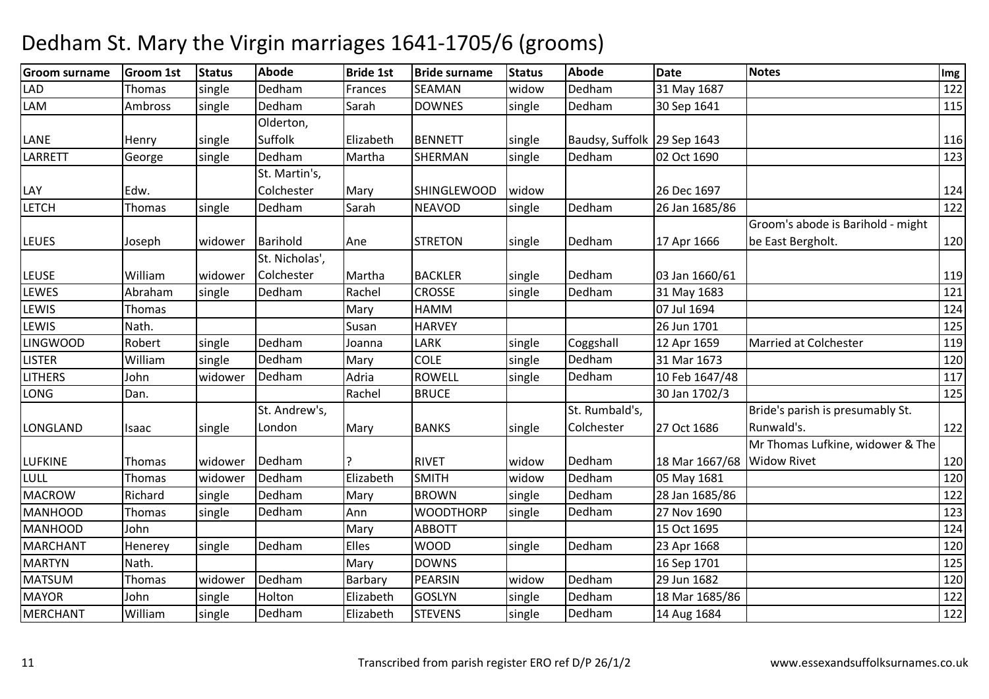| <b>Groom surname</b> | Groom 1st     | <b>Status</b> | <b>Abode</b>   | <b>Bride 1st</b> | <b>Bride surname</b> | <b>Status</b> | <b>Abode</b>                | <b>Date</b>                | <b>Notes</b>                      | Img |
|----------------------|---------------|---------------|----------------|------------------|----------------------|---------------|-----------------------------|----------------------------|-----------------------------------|-----|
| <b>LAD</b>           | Thomas        | single        | Dedham         | Frances          | SEAMAN               | widow         | Dedham                      | 31 May 1687                |                                   | 122 |
| LAM                  | Ambross       | single        | Dedham         | Sarah            | <b>DOWNES</b>        | single        | Dedham                      | 30 Sep 1641                |                                   | 115 |
|                      |               |               | Olderton,      |                  |                      |               |                             |                            |                                   |     |
| LANE                 | Henry         | single        | Suffolk        | Elizabeth        | <b>BENNETT</b>       | single        | Baudsy, Suffolk 29 Sep 1643 |                            |                                   | 116 |
| LARRETT              | George        | single        | Dedham         | Martha           | SHERMAN              | single        | Dedham                      | 02 Oct 1690                |                                   | 123 |
|                      |               |               | St. Martin's,  |                  |                      |               |                             |                            |                                   |     |
| LAY                  | Edw.          |               | Colchester     | Mary             | <b>SHINGLEWOOD</b>   | widow         |                             | 26 Dec 1697                |                                   | 124 |
| <b>LETCH</b>         | Thomas        | single        | Dedham         | Sarah            | <b>NEAVOD</b>        | single        | Dedham                      | 26 Jan 1685/86             |                                   | 122 |
|                      |               |               |                |                  |                      |               |                             |                            | Groom's abode is Barihold - might |     |
| <b>LEUES</b>         | Joseph        | widower       | Barihold       | Ane              | <b>STRETON</b>       | single        | Dedham                      | 17 Apr 1666                | be East Bergholt.                 | 120 |
|                      |               |               | St. Nicholas', |                  |                      |               |                             |                            |                                   |     |
| <b>LEUSE</b>         | William       | widower       | Colchester     | Martha           | <b>BACKLER</b>       | single        | Dedham                      | 03 Jan 1660/61             |                                   | 119 |
| <b>LEWES</b>         | Abraham       | single        | Dedham         | Rachel           | CROSSE               | single        | Dedham                      | 31 May 1683                |                                   | 121 |
| <b>LEWIS</b>         | Thomas        |               |                | Mary             | <b>HAMM</b>          |               |                             | 07 Jul 1694                |                                   | 124 |
| <b>LEWIS</b>         | Nath.         |               |                | Susan            | <b>HARVEY</b>        |               |                             | 26 Jun 1701                |                                   | 125 |
| <b>LINGWOOD</b>      | Robert        | single        | Dedham         | Joanna           | LARK                 | single        | Coggshall                   | 12 Apr 1659                | Married at Colchester             | 119 |
| <b>LISTER</b>        | William       | single        | Dedham         | Mary             | <b>COLE</b>          | single        | Dedham                      | 31 Mar 1673                |                                   | 120 |
| <b>LITHERS</b>       | John          | widower       | Dedham         | Adria            | <b>ROWELL</b>        | single        | Dedham                      | 10 Feb 1647/48             |                                   | 117 |
| <b>LONG</b>          | Dan.          |               |                | Rachel           | <b>BRUCE</b>         |               |                             | 30 Jan 1702/3              |                                   | 125 |
|                      |               |               | St. Andrew's,  |                  |                      |               | St. Rumbald's,              |                            | Bride's parish is presumably St.  |     |
| LONGLAND             | Isaac         | single        | London         | Mary             | <b>BANKS</b>         | single        | Colchester                  | 27 Oct 1686                | Runwald's.                        | 122 |
|                      |               |               |                |                  |                      |               |                             |                            | Mr Thomas Lufkine, widower & The  |     |
| <b>LUFKINE</b>       | Thomas        | widower       | Dedham         | ?                | <b>RIVET</b>         | widow         | Dedham                      | 18 Mar 1667/68 Widow Rivet |                                   | 120 |
| LULL                 | <b>Thomas</b> | widower       | Dedham         | Elizabeth        | <b>SMITH</b>         | widow         | Dedham                      | 05 May 1681                |                                   | 120 |
| <b>MACROW</b>        | Richard       | single        | Dedham         | Mary             | <b>BROWN</b>         | single        | Dedham                      | 28 Jan 1685/86             |                                   | 122 |
| <b>MANHOOD</b>       | <b>Thomas</b> | single        | Dedham         | Ann              | <b>WOODTHORP</b>     | single        | Dedham                      | 27 Nov 1690                |                                   | 123 |
| <b>MANHOOD</b>       | John          |               |                | Mary             | <b>ABBOTT</b>        |               |                             | 15 Oct 1695                |                                   | 124 |
| <b>MARCHANT</b>      | Henerey       | single        | Dedham         | <b>Elles</b>     | <b>WOOD</b>          | single        | Dedham                      | 23 Apr 1668                |                                   | 120 |
| <b>MARTYN</b>        | Nath.         |               |                | Mary             | <b>DOWNS</b>         |               |                             | 16 Sep 1701                |                                   | 125 |
| <b>MATSUM</b>        | Thomas        | widower       | Dedham         | Barbary          | <b>PEARSIN</b>       | widow         | Dedham                      | 29 Jun 1682                |                                   | 120 |
| <b>MAYOR</b>         | John          | single        | Holton         | Elizabeth        | <b>GOSLYN</b>        | single        | Dedham                      | 18 Mar 1685/86             |                                   | 122 |
| <b>MERCHANT</b>      | William       | single        | Dedham         | Elizabeth        | <b>STEVENS</b>       | single        | Dedham                      | 14 Aug 1684                |                                   | 122 |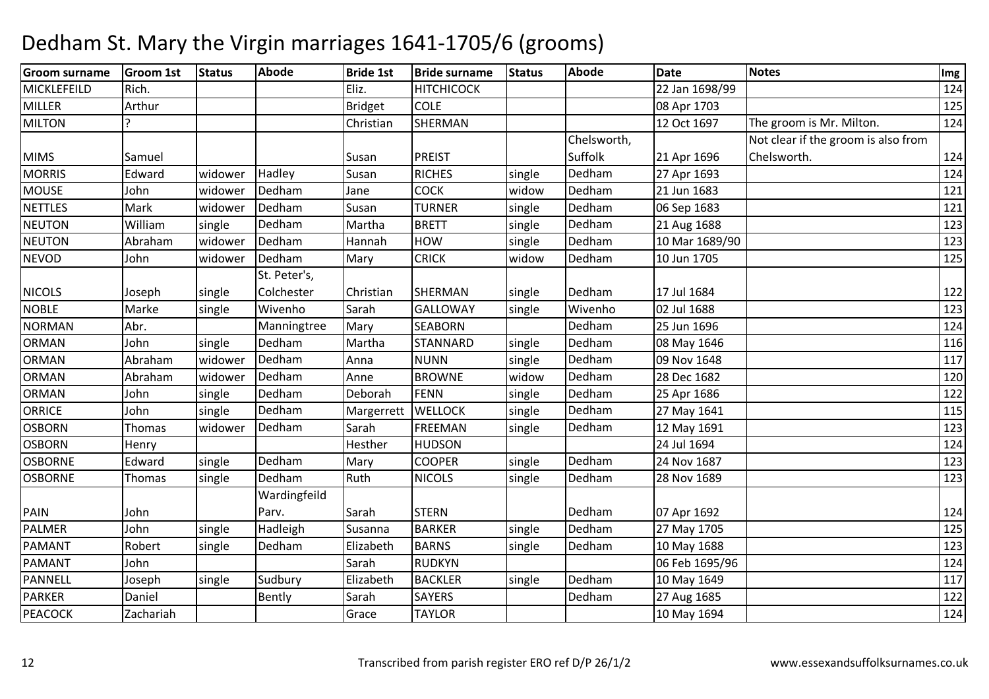| <b>Groom surname</b> | Groom 1st | <b>Status</b> | Abode        | <b>Bride 1st</b> | <b>Bride surname</b> | <b>Status</b> | <b>Abode</b> | <b>Date</b>    | <b>Notes</b>                        | Img |
|----------------------|-----------|---------------|--------------|------------------|----------------------|---------------|--------------|----------------|-------------------------------------|-----|
| MICKLEFEILD          | Rich.     |               |              | Eliz.            | <b>HITCHICOCK</b>    |               |              | 22 Jan 1698/99 |                                     | 124 |
| <b>MILLER</b>        | Arthur    |               |              | <b>Bridget</b>   | <b>COLE</b>          |               |              | 08 Apr 1703    |                                     | 125 |
| <b>MILTON</b>        |           |               |              | Christian        | <b>SHERMAN</b>       |               |              | 12 Oct 1697    | The groom is Mr. Milton.            | 124 |
|                      |           |               |              |                  |                      |               | Chelsworth,  |                | Not clear if the groom is also from |     |
| <b>MIMS</b>          | Samuel    |               |              | Susan            | <b>PREIST</b>        |               | Suffolk      | 21 Apr 1696    | Chelsworth.                         | 124 |
| <b>MORRIS</b>        | Edward    | widower       | Hadley       | Susan            | <b>RICHES</b>        | single        | Dedham       | 27 Apr 1693    |                                     | 124 |
| <b>MOUSE</b>         | John      | widower       | Dedham       | Jane             | <b>COCK</b>          | widow         | Dedham       | 21 Jun 1683    |                                     | 121 |
| <b>NETTLES</b>       | Mark      | widower       | Dedham       | Susan            | <b>TURNER</b>        | single        | Dedham       | 06 Sep 1683    |                                     | 121 |
| <b>NEUTON</b>        | William   | single        | Dedham       | Martha           | <b>BRETT</b>         | single        | Dedham       | 21 Aug 1688    |                                     | 123 |
| <b>NEUTON</b>        | Abraham   | widower       | Dedham       | Hannah           | HOW                  | single        | Dedham       | 10 Mar 1689/90 |                                     | 123 |
| <b>NEVOD</b>         | John      | widower       | Dedham       | Mary             | <b>CRICK</b>         | widow         | Dedham       | 10 Jun 1705    |                                     | 125 |
|                      |           |               | St. Peter's, |                  |                      |               |              |                |                                     |     |
| <b>NICOLS</b>        | Joseph    | single        | Colchester   | Christian        | <b>SHERMAN</b>       | single        | Dedham       | 17 Jul 1684    |                                     | 122 |
| <b>NOBLE</b>         | Marke     | single        | Wivenho      | Sarah            | <b>GALLOWAY</b>      | single        | Wivenho      | 02 Jul 1688    |                                     | 123 |
| <b>NORMAN</b>        | Abr.      |               | Manningtree  | Mary             | <b>SEABORN</b>       |               | Dedham       | 25 Jun 1696    |                                     | 124 |
| <b>ORMAN</b>         | John      | single        | Dedham       | Martha           | <b>STANNARD</b>      | single        | Dedham       | 08 May 1646    |                                     | 116 |
| <b>ORMAN</b>         | Abraham   | widower       | Dedham       | Anna             | <b>NUNN</b>          | single        | Dedham       | 09 Nov 1648    |                                     | 117 |
| <b>ORMAN</b>         | Abraham   | widower       | Dedham       | Anne             | <b>BROWNE</b>        | widow         | Dedham       | 28 Dec 1682    |                                     | 120 |
| <b>ORMAN</b>         | John      | single        | Dedham       | Deborah          | <b>FENN</b>          | single        | Dedham       | 25 Apr 1686    |                                     | 122 |
| <b>ORRICE</b>        | John      | single        | Dedham       | Margerrett       | <b>WELLOCK</b>       | single        | Dedham       | 27 May 1641    |                                     | 115 |
| <b>OSBORN</b>        | Thomas    | widower       | Dedham       | Sarah            | <b>FREEMAN</b>       | single        | Dedham       | 12 May 1691    |                                     | 123 |
| <b>OSBORN</b>        | Henry     |               |              | Hesther          | <b>HUDSON</b>        |               |              | 24 Jul 1694    |                                     | 124 |
| <b>OSBORNE</b>       | Edward    | single        | Dedham       | Mary             | <b>COOPER</b>        | single        | Dedham       | 24 Nov 1687    |                                     | 123 |
| <b>OSBORNE</b>       | Thomas    | single        | Dedham       | Ruth             | <b>NICOLS</b>        | single        | Dedham       | 28 Nov 1689    |                                     | 123 |
|                      |           |               | Wardingfeild |                  |                      |               |              |                |                                     |     |
| PAIN                 | John      |               | Parv.        | Sarah            | <b>STERN</b>         |               | Dedham       | 07 Apr 1692    |                                     | 124 |
| PALMER               | John      | single        | Hadleigh     | Susanna          | <b>BARKER</b>        | single        | Dedham       | 27 May 1705    |                                     | 125 |
| PAMANT               | Robert    | single        | Dedham       | Elizabeth        | <b>BARNS</b>         | single        | Dedham       | 10 May 1688    |                                     | 123 |
| PAMANT               | John      |               |              | Sarah            | <b>RUDKYN</b>        |               |              | 06 Feb 1695/96 |                                     | 124 |
| PANNELL              | Joseph    | single        | Sudbury      | Elizabeth        | <b>BACKLER</b>       | single        | Dedham       | 10 May 1649    |                                     | 117 |
| <b>PARKER</b>        | Daniel    |               | Bently       | Sarah            | <b>SAYERS</b>        |               | Dedham       | 27 Aug 1685    |                                     | 122 |
| <b>PEACOCK</b>       | Zachariah |               |              | Grace            | <b>TAYLOR</b>        |               |              | 10 May 1694    |                                     | 124 |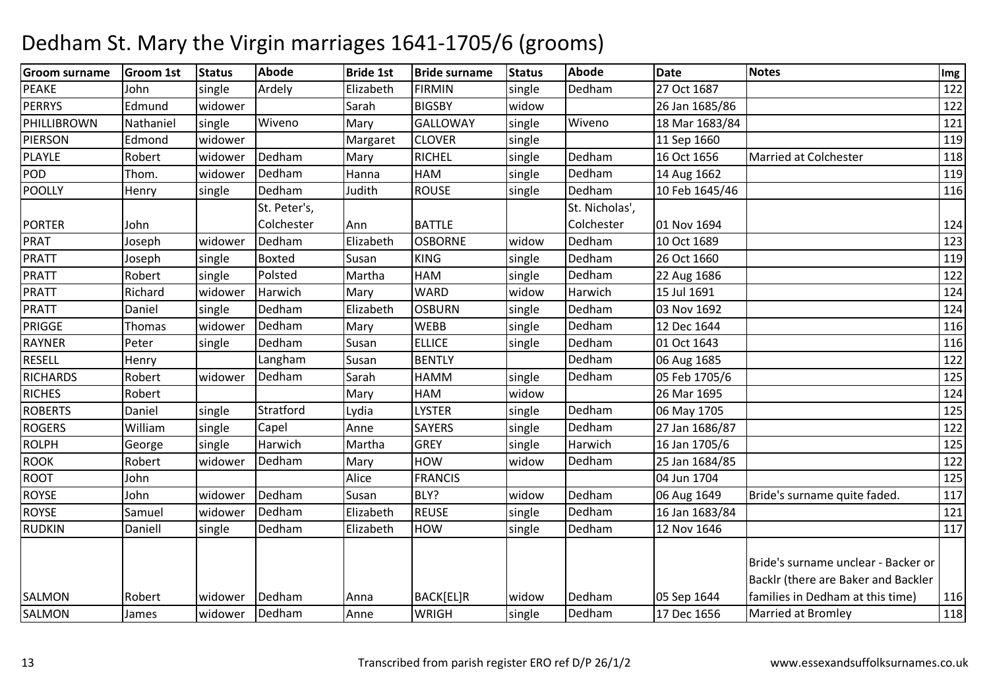| <b>Groom surname</b> | Groom 1st | <b>Status</b> | Abode         | <b>Bride 1st</b> | <b>Bride surname</b> | <b>Status</b> | <b>Abode</b>   | <b>Date</b>    | Notes                               | Img |
|----------------------|-----------|---------------|---------------|------------------|----------------------|---------------|----------------|----------------|-------------------------------------|-----|
| <b>PEAKE</b>         | John      | single        | Ardely        | Elizabeth        | <b>FIRMIN</b>        | single        | Dedham         | 27 Oct 1687    |                                     | 122 |
| <b>PERRYS</b>        | Edmund    | widower       |               | Sarah            | <b>BIGSBY</b>        | widow         |                | 26 Jan 1685/86 |                                     | 122 |
| PHILLIBROWN          | Nathaniel | single        | Wiveno        | Mary             | <b>GALLOWAY</b>      | single        | Wiveno         | 18 Mar 1683/84 |                                     | 121 |
| <b>PIERSON</b>       | Edmond    | widower       |               | Margaret         | <b>CLOVER</b>        | single        |                | 11 Sep 1660    |                                     | 119 |
| PLAYLE               | Robert    | widower       | Dedham        | Mary             | <b>RICHEL</b>        | single        | Dedham         | 16 Oct 1656    | <b>Married at Colchester</b>        | 118 |
| <b>POD</b>           | Thom.     | widower       | Dedham        | Hanna            | HAM                  | single        | Dedham         | 14 Aug 1662    |                                     | 119 |
| POOLLY               | Henry     | single        | Dedham        | Judith           | <b>ROUSE</b>         | single        | Dedham         | 10 Feb 1645/46 |                                     | 116 |
|                      |           |               | St. Peter's,  |                  |                      |               | St. Nicholas', |                |                                     |     |
| <b>PORTER</b>        | John      |               | Colchester    | Ann              | <b>BATTLE</b>        |               | Colchester     | 01 Nov 1694    |                                     | 124 |
| <b>PRAT</b>          | Joseph    | widower       | Dedham        | Elizabeth        | <b>OSBORNE</b>       | widow         | Dedham         | 10 Oct 1689    |                                     | 123 |
| PRATT                | Joseph    | single        | <b>Boxted</b> | Susan            | <b>KING</b>          | single        | Dedham         | 26 Oct 1660    |                                     | 119 |
| PRATT                | Robert    | single        | Polsted       | Martha           | HAM                  | single        | Dedham         | 22 Aug 1686    |                                     | 122 |
| PRATT                | Richard   | widower       | Harwich       | Mary             | <b>WARD</b>          | widow         | Harwich        | 15 Jul 1691    |                                     | 124 |
| PRATT                | Daniel    | single        | Dedham        | Elizabeth        | <b>OSBURN</b>        | single        | Dedham         | 03 Nov 1692    |                                     | 124 |
| <b>PRIGGE</b>        | Thomas    | widower       | Dedham        | Mary             | <b>WEBB</b>          | single        | Dedham         | 12 Dec 1644    |                                     | 116 |
| <b>RAYNER</b>        | Peter     | single        | Dedham        | Susan            | <b>ELLICE</b>        | single        | Dedham         | 01 Oct 1643    |                                     | 116 |
| <b>RESELL</b>        | Henry     |               | Langham       | Susan            | <b>BENTLY</b>        |               | Dedham         | 06 Aug 1685    |                                     | 122 |
| <b>RICHARDS</b>      | Robert    | widower       | Dedham        | Sarah            | HAMM                 | single        | Dedham         | 05 Feb 1705/6  |                                     | 125 |
| <b>RICHES</b>        | Robert    |               |               | Mary             | HAM                  | widow         |                | 26 Mar 1695    |                                     | 124 |
| <b>ROBERTS</b>       | Daniel    | single        | Stratford     | Lydia            | <b>LYSTER</b>        | single        | Dedham         | 06 May 1705    |                                     | 125 |
| <b>ROGERS</b>        | William   | single        | Capel         | Anne             | <b>SAYERS</b>        | single        | Dedham         | 27 Jan 1686/87 |                                     | 122 |
| <b>ROLPH</b>         | George    | single        | Harwich       | Martha           | <b>GREY</b>          | single        | Harwich        | 16 Jan 1705/6  |                                     | 125 |
| <b>ROOK</b>          | Robert    | widower       | Dedham        | Mary             | HOW                  | widow         | Dedham         | 25 Jan 1684/85 |                                     | 122 |
| <b>ROOT</b>          | John      |               |               | Alice            | <b>FRANCIS</b>       |               |                | 04 Jun 1704    |                                     | 125 |
| <b>ROYSE</b>         | John      | widower       | Dedham        | Susan            | BLY?                 | widow         | Dedham         | 06 Aug 1649    | Bride's surname quite faded.        | 117 |
| <b>ROYSE</b>         | Samuel    | widower       | Dedham        | Elizabeth        | <b>REUSE</b>         | single        | Dedham         | 16 Jan 1683/84 |                                     | 121 |
| <b>RUDKIN</b>        | Daniell   | single        | Dedham        | Elizabeth        | <b>HOW</b>           | single        | Dedham         | 12 Nov 1646    |                                     | 117 |
|                      |           |               |               |                  |                      |               |                |                |                                     |     |
|                      |           |               |               |                  |                      |               |                |                | Bride's surname unclear - Backer or |     |
|                      |           |               |               |                  |                      |               |                |                | Backlr (there are Baker and Backler |     |
| <b>SALMON</b>        | Robert    | widower       | Dedham        | Anna             | BACK[EL]R            | widow         | Dedham         | 05 Sep 1644    | families in Dedham at this time)    | 116 |
| SALMON               | James     | widower       | Dedham        | Anne             | <b>WRIGH</b>         | single        | Dedham         | 17 Dec 1656    | <b>Married at Bromley</b>           | 118 |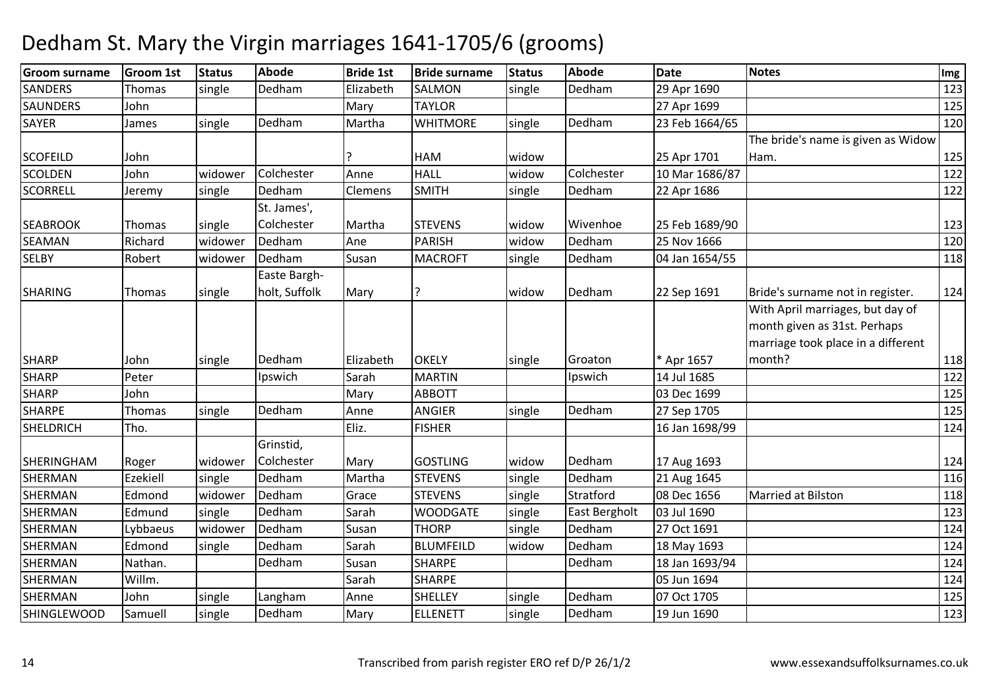| <b>Groom surname</b> | <b>Groom 1st</b> | <b>Status</b> | Abode         | <b>Bride 1st</b> | <b>Bride surname</b> | <b>Status</b> | <b>Abode</b>         | <b>Date</b>    | Notes                              | Img |
|----------------------|------------------|---------------|---------------|------------------|----------------------|---------------|----------------------|----------------|------------------------------------|-----|
| <b>SANDERS</b>       | Thomas           | single        | Dedham        | Elizabeth        | SALMON               | single        | Dedham               | 29 Apr 1690    |                                    | 123 |
| <b>SAUNDERS</b>      | John             |               |               | Mary             | <b>TAYLOR</b>        |               |                      | 27 Apr 1699    |                                    | 125 |
| <b>SAYER</b>         | James            | single        | Dedham        | Martha           | <b>WHITMORE</b>      | single        | Dedham               | 23 Feb 1664/65 |                                    | 120 |
|                      |                  |               |               |                  |                      |               |                      |                | The bride's name is given as Widow |     |
| <b>SCOFEILD</b>      | John             |               |               |                  | HAM                  | widow         |                      | 25 Apr 1701    | Ham.                               | 125 |
| <b>SCOLDEN</b>       | John             | widower       | Colchester    | Anne             | <b>HALL</b>          | widow         | Colchester           | 10 Mar 1686/87 |                                    | 122 |
| <b>SCORRELL</b>      | Jeremy           | single        | Dedham        | Clemens          | <b>SMITH</b>         | single        | Dedham               | 22 Apr 1686    |                                    | 122 |
|                      |                  |               | St. James',   |                  |                      |               |                      |                |                                    |     |
| <b>SEABROOK</b>      | Thomas           | single        | Colchester    | Martha           | <b>STEVENS</b>       | widow         | Wivenhoe             | 25 Feb 1689/90 |                                    | 123 |
| SEAMAN               | Richard          | widower       | Dedham        | Ane              | <b>PARISH</b>        | widow         | Dedham               | 25 Nov 1666    |                                    | 120 |
| SELBY                | Robert           | widower       | Dedham        | Susan            | <b>MACROFT</b>       | single        | Dedham               | 04 Jan 1654/55 |                                    | 118 |
|                      |                  |               | Easte Bargh-  |                  |                      |               |                      |                |                                    |     |
| <b>SHARING</b>       | Thomas           | single        | holt, Suffolk | Mary             | ç                    | widow         | Dedham               | 22 Sep 1691    | Bride's surname not in register.   | 124 |
|                      |                  |               |               |                  |                      |               |                      |                | With April marriages, but day of   |     |
|                      |                  |               |               |                  |                      |               |                      |                | month given as 31st. Perhaps       |     |
|                      |                  |               |               |                  |                      |               |                      |                | marriage took place in a different |     |
| <b>SHARP</b>         | John             | single        | Dedham        | Elizabeth        | <b>OKELY</b>         | single        | Groaton              | * Apr 1657     | month?                             | 118 |
| <b>SHARP</b>         | Peter            |               | Ipswich       | Sarah            | <b>MARTIN</b>        |               | Ipswich              | 14 Jul 1685    |                                    | 122 |
| <b>SHARP</b>         | John             |               |               | Mary             | <b>ABBOTT</b>        |               |                      | 03 Dec 1699    |                                    | 125 |
| <b>SHARPE</b>        | Thomas           | single        | Dedham        | Anne             | ANGIER               | single        | Dedham               | 27 Sep 1705    |                                    | 125 |
| <b>SHELDRICH</b>     | Tho.             |               |               | Eliz.            | <b>FISHER</b>        |               |                      | 16 Jan 1698/99 |                                    | 124 |
|                      |                  |               | Grinstid,     |                  |                      |               |                      |                |                                    |     |
| SHERINGHAM           | Roger            | widower       | Colchester    | Mary             | <b>GOSTLING</b>      | widow         | Dedham               | 17 Aug 1693    |                                    | 124 |
| SHERMAN              | Ezekiell         | single        | Dedham        | Martha           | <b>STEVENS</b>       | single        | Dedham               | 21 Aug 1645    |                                    | 116 |
| <b>SHERMAN</b>       | Edmond           | widower       | Dedham        | Grace            | <b>STEVENS</b>       | single        | Stratford            | 08 Dec 1656    | Married at Bilston                 | 118 |
| <b>SHERMAN</b>       | Edmund           | single        | Dedham        | Sarah            | <b>WOODGATE</b>      | single        | <b>East Bergholt</b> | 03 Jul 1690    |                                    | 123 |
| SHERMAN              | Lybbaeus         | widower       | Dedham        | Susan            | <b>THORP</b>         | single        | Dedham               | 27 Oct 1691    |                                    | 124 |
| SHERMAN              | Edmond           | single        | Dedham        | Sarah            | <b>BLUMFEILD</b>     | widow         | Dedham               | 18 May 1693    |                                    | 124 |
| SHERMAN              | Nathan.          |               | Dedham        | Susan            | <b>SHARPE</b>        |               | Dedham               | 18 Jan 1693/94 |                                    | 124 |
| <b>SHERMAN</b>       | Willm.           |               |               | Sarah            | <b>SHARPE</b>        |               |                      | 05 Jun 1694    |                                    | 124 |
| SHERMAN              | John             | single        | Langham       | Anne             | <b>SHELLEY</b>       | single        | Dedham               | 07 Oct 1705    |                                    | 125 |
| <b>SHINGLEWOOD</b>   | Samuell          | single        | Dedham        | Mary             | <b>ELLENETT</b>      | single        | Dedham               | 19 Jun 1690    |                                    | 123 |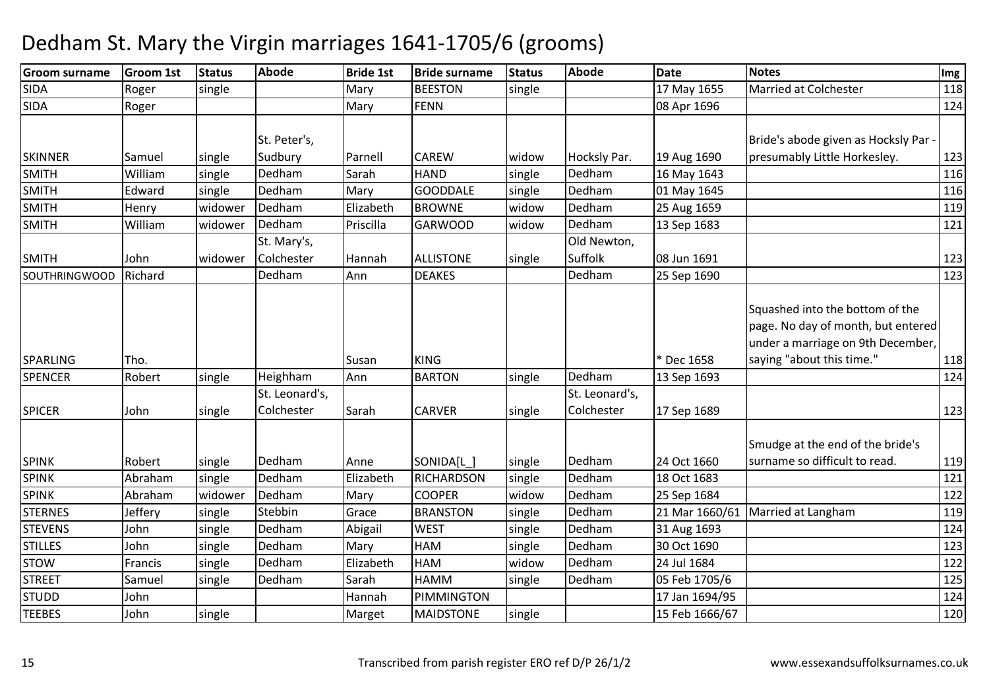| <b>Groom surname</b> | <b>Groom 1st</b> | <b>Status</b> | Abode          | <b>Bride 1st</b> | <b>Bride surname</b> | <b>Status</b> | <b>Abode</b>   | <b>Date</b>    | <b>Notes</b>                         | Img |
|----------------------|------------------|---------------|----------------|------------------|----------------------|---------------|----------------|----------------|--------------------------------------|-----|
| <b>SIDA</b>          | Roger            | single        |                | Mary             | <b>BEESTON</b>       | single        |                | 17 May 1655    | Married at Colchester                | 118 |
| <b>SIDA</b>          | Roger            |               |                | Mary             | <b>FENN</b>          |               |                | 08 Apr 1696    |                                      | 124 |
|                      |                  |               |                |                  |                      |               |                |                |                                      |     |
|                      |                  |               | St. Peter's,   |                  |                      |               |                |                | Bride's abode given as Hocksly Par - |     |
| <b>SKINNER</b>       | Samuel           | single        | Sudbury        | Parnell          | <b>CAREW</b>         | widow         | Hocksly Par.   | 19 Aug 1690    | presumably Little Horkesley.         | 123 |
| <b>SMITH</b>         | William          | single        | Dedham         | Sarah            | <b>HAND</b>          | single        | Dedham         | 16 May 1643    |                                      | 116 |
| <b>SMITH</b>         | Edward           | single        | Dedham         | Mary             | <b>GOODDALE</b>      | single        | Dedham         | 01 May 1645    |                                      | 116 |
| <b>SMITH</b>         | Henry            | widower       | Dedham         | Elizabeth        | <b>BROWNE</b>        | widow         | Dedham         | 25 Aug 1659    |                                      | 119 |
| <b>SMITH</b>         | William          | widower       | Dedham         | Priscilla        | <b>GARWOOD</b>       | widow         | Dedham         | 13 Sep 1683    |                                      | 121 |
|                      |                  |               | St. Mary's,    |                  |                      |               | Old Newton,    |                |                                      |     |
| <b>SMITH</b>         | John             | widower       | Colchester     | Hannah           | <b>ALLISTONE</b>     | single        | Suffolk        | 08 Jun 1691    |                                      | 123 |
| <b>SOUTHRINGWOOD</b> | Richard          |               | Dedham         | Ann              | <b>DEAKES</b>        |               | Dedham         | 25 Sep 1690    |                                      | 123 |
|                      |                  |               |                |                  |                      |               |                |                |                                      |     |
|                      |                  |               |                |                  |                      |               |                |                | Squashed into the bottom of the      |     |
|                      |                  |               |                |                  |                      |               |                |                | page. No day of month, but entered   |     |
|                      |                  |               |                |                  |                      |               |                |                | under a marriage on 9th December,    |     |
| SPARLING             | Tho.             |               |                | Susan            | <b>KING</b>          |               |                | * Dec 1658     | saying "about this time."            | 118 |
| <b>SPENCER</b>       | Robert           | single        | Heighham       | Ann              | <b>BARTON</b>        | single        | Dedham         | 13 Sep 1693    |                                      | 124 |
|                      |                  |               | St. Leonard's, |                  |                      |               | St. Leonard's, |                |                                      |     |
| <b>SPICER</b>        | John             | single        | Colchester     | Sarah            | <b>CARVER</b>        | single        | Colchester     | 17 Sep 1689    |                                      | 123 |
|                      |                  |               |                |                  |                      |               |                |                |                                      |     |
|                      |                  |               |                |                  |                      |               |                |                | Smudge at the end of the bride's     |     |
| <b>SPINK</b>         | Robert           | single        | Dedham         | Anne             | SONIDA[L]            | single        | Dedham         | 24 Oct 1660    | surname so difficult to read.        | 119 |
| <b>SPINK</b>         | Abraham          | single        | Dedham         | Elizabeth        | <b>RICHARDSON</b>    | single        | Dedham         | 18 Oct 1683    |                                      | 121 |
| <b>SPINK</b>         | Abraham          | widower       | Dedham         | Mary             | <b>COOPER</b>        | widow         | Dedham         | 25 Sep 1684    |                                      | 122 |
| <b>STERNES</b>       | Jeffery          | single        | Stebbin        | Grace            | <b>BRANSTON</b>      | single        | Dedham         | 21 Mar 1660/61 | Married at Langham                   | 119 |
| <b>STEVENS</b>       | John             | single        | Dedham         | Abigail          | <b>WEST</b>          | single        | Dedham         | 31 Aug 1693    |                                      | 124 |
| <b>STILLES</b>       | John             | single        | Dedham         | Mary             | HAM                  | single        | Dedham         | 30 Oct 1690    |                                      | 123 |
| <b>STOW</b>          | Francis          | single        | Dedham         | Elizabeth        | <b>HAM</b>           | widow         | Dedham         | 24 Jul 1684    |                                      | 122 |
| <b>STREET</b>        | Samuel           | single        | Dedham         | Sarah            | <b>HAMM</b>          | single        | Dedham         | 05 Feb 1705/6  |                                      | 125 |
| <b>STUDD</b>         | John             |               |                | Hannah           | PIMMINGTON           |               |                | 17 Jan 1694/95 |                                      | 124 |
| <b>TEEBES</b>        | John             | single        |                | Marget           | <b>MAIDSTONE</b>     | single        |                | 15 Feb 1666/67 |                                      | 120 |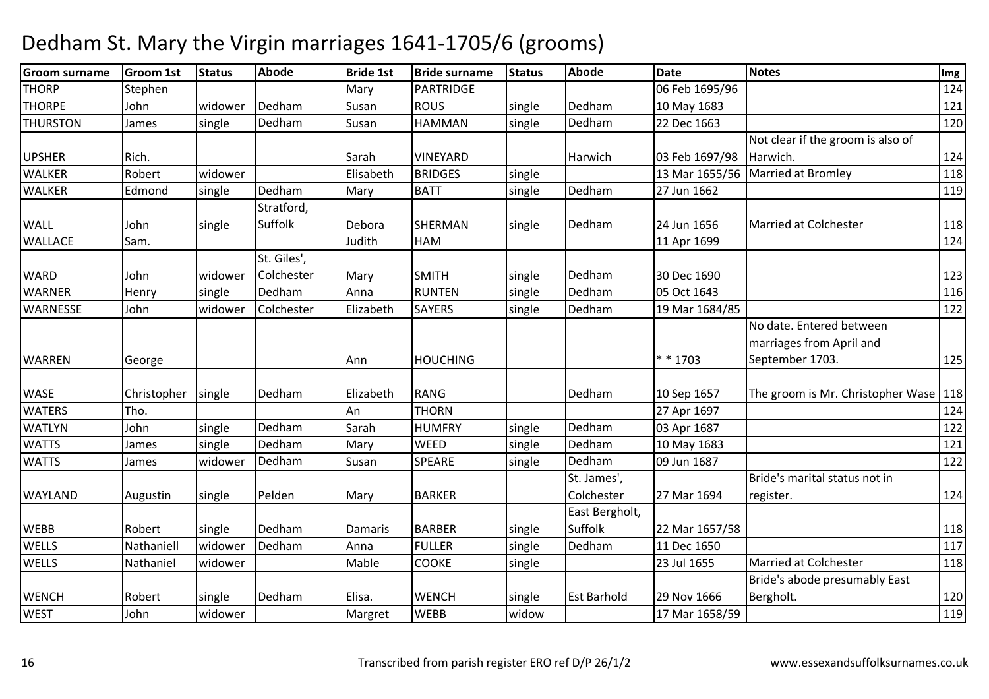#### **Groom surname Groom 1st Status Abode Bride 1st Bride surname Status Abode Date Notes Img THORP Stephen** n |Mary |PARTRIDGE 06 Feb 1695/96 124 **THORPE**  Johnwidower Dedham<br>single Dedham m Susan ROUS single Dedham 10 May 1683 121 m THURSTONN James single Dedham m Susan HAMMAN single Dedham 22 Dec 1663 120 120 m UPSHER Rich. National Rich. Sarah <mark>VINEYARD</mark> VINEYARD Harwich 03 Feb 1697/98<br>BRIDGES single 13 Mar 1655/56 Not clear if the groom is also of Harwich. 124WALKERR Robert Widower Elisabeth BRIDGES single 13 Mar 1655/56 Married at Bromley 118 WALKEREdmond single Dedham m Mary BATT single Dedham 27 Jun 1662 119 WALL John single Stratford, SuffolkDebora SHERMAN single Dedham<br>Judith HAM 24 Jun 1656 Married at Colchester 118<br>11 Apr 1699 124 WALLACEE Sam. Judith HAMM 124 WARD John widower St. Giles', Colchesterr Mary SMITH single Dedham m 30 Dec 1690 123 WARNERHenry Single Dedham<br>John Widower Colchester m Anna RUNTEN single Dedham 05 Oct 1643 116<br>1988 - Europe State Line State Line (1894-1894) **WARNESSE**  Johnn widower Colchester Elizabeth SAYERS single Dedham Dedham 19 Mar 1684/85 122 WARREN George Ann HOUCHING \* \* 1703No date. Entered between marriages from April and September 1703.WASE Christopher single Dedham<br>WATERS Tho. Elizabeth RANG Dedham 10 Sep 1657 The groom is Mr. Christopher Wase 118<br>An THORN 124 WATERSS Tho. Tho. An An THORN<br>Sarah HUMFF N 27 Apr 1697 124 WATLYNN John single Dedham m Sarah HUMFRY single Dedham 03 Apr 1687 | 1222<br>122 | Sarah | HUMFRY | single Dedham | 03 Apr 1687 | 1222 | 1232 | 1242 | 1253 | 1264 | 1272 | 1272 | 1272 | 1 **WATTS** James single Dedhamm Mary WEED single Dedham 10 May 1683 121 121 **WATTS** James Iwidower Dedham m Susan SPEARE single Dedham 09 Jun 1687 | Susan 122 WAYLAND Augustin single Pelden Mary BARKER St. James', Colchester 27 Mar 1694Bride's marital status not in register.WEBB Robert Single Dedham m Damaris BARBER single East Bergholt, Suffolk 22 Mar 1657/58 <sup>118</sup>**WELLS**  Nathaniell widower Dedhamm Anna FULLER single Dedham 11 Dec 1650 1177<br>1172 - Anna Second Line Dedham 11 Dec 1650 1177 **WELLS** S Mathaniel widower Mable Mable COOKE single | 23 Jul 1655 Married at Colchester 118 WENCH Robert single Dedham m Elisa. WENCH single Est Barhold 29 Nov 1666<br>External single Est Barhold 29 Nov 1666 Bride's abode presumably East Bergholt.

#### Dedham St. Mary the Virgin marriages 1641-1705/6 (grooms)

n | Widower | Margret | WEBB

17 Mar 1658/59

 $\overline{118}$ 

125

124

117

 120119

WEBB widow

**WEST** 

John